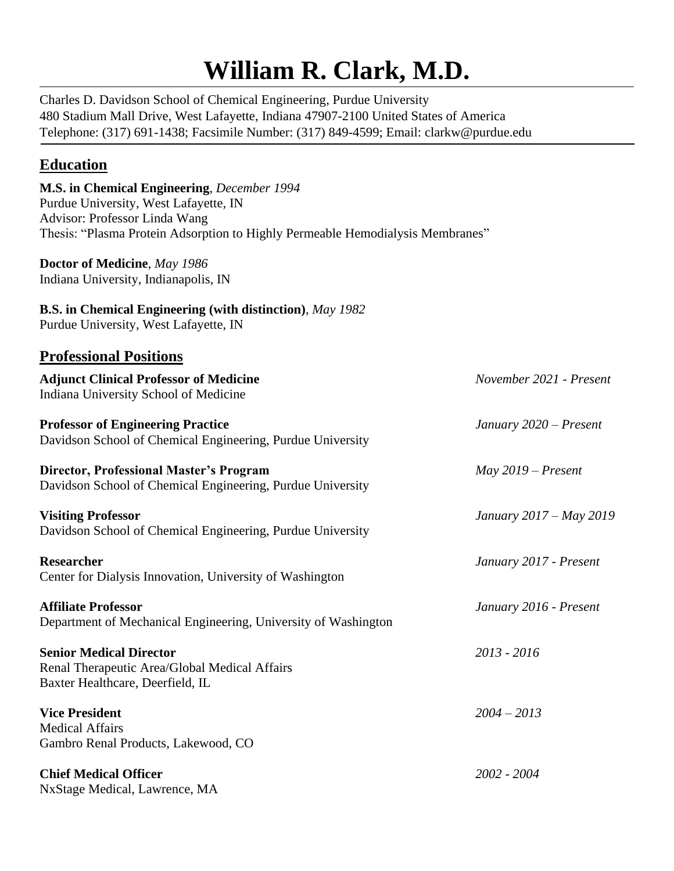# **William R. Clark, M.D.**

Charles D. Davidson School of Chemical Engineering, Purdue University 480 Stadium Mall Drive, West Lafayette, Indiana 47907-2100 United States of America Telephone: (317) 691-1438; Facsimile Number: (317) 849-4599; Email: clarkw@purdue.edu

## **Education**

| M.S. in Chemical Engineering, December 1994<br>Purdue University, West Lafayette, IN<br>Advisor: Professor Linda Wang<br>Thesis: "Plasma Protein Adsorption to Highly Permeable Hemodialysis Membranes" |                         |
|---------------------------------------------------------------------------------------------------------------------------------------------------------------------------------------------------------|-------------------------|
| Doctor of Medicine, May 1986<br>Indiana University, Indianapolis, IN                                                                                                                                    |                         |
| <b>B.S.</b> in Chemical Engineering (with distinction), May 1982<br>Purdue University, West Lafayette, IN                                                                                               |                         |
| <b>Professional Positions</b>                                                                                                                                                                           |                         |
| <b>Adjunct Clinical Professor of Medicine</b><br>Indiana University School of Medicine                                                                                                                  | November 2021 - Present |
| <b>Professor of Engineering Practice</b><br>Davidson School of Chemical Engineering, Purdue University                                                                                                  | January 2020 - Present  |
| <b>Director, Professional Master's Program</b><br>Davidson School of Chemical Engineering, Purdue University                                                                                            | $May 2019 - Present$    |
| <b>Visiting Professor</b><br>Davidson School of Chemical Engineering, Purdue University                                                                                                                 | January 2017 – May 2019 |
| <b>Researcher</b><br>Center for Dialysis Innovation, University of Washington                                                                                                                           | January 2017 - Present  |
| <b>Affiliate Professor</b><br>Department of Mechanical Engineering, University of Washington                                                                                                            | January 2016 - Present  |
| <b>Senior Medical Director</b><br>Renal Therapeutic Area/Global Medical Affairs<br>Baxter Healthcare, Deerfield, IL                                                                                     | 2013 - 2016             |
| <b>Vice President</b><br><b>Medical Affairs</b><br>Gambro Renal Products, Lakewood, CO                                                                                                                  | $2004 - 2013$           |
| <b>Chief Medical Officer</b>                                                                                                                                                                            | 2002 - 2004             |

NxStage Medical, Lawrence, MA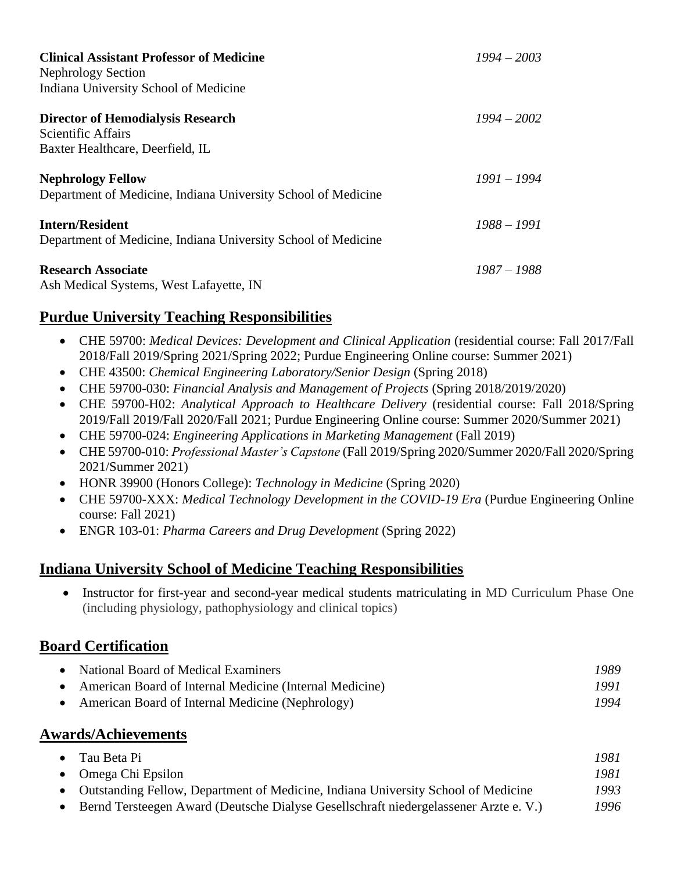| <b>Clinical Assistant Professor of Medicine</b><br><b>Nephrology Section</b><br>Indiana University School of Medicine | $1994 - 2003$ |
|-----------------------------------------------------------------------------------------------------------------------|---------------|
| <b>Director of Hemodialysis Research</b><br><b>Scientific Affairs</b><br>Baxter Healthcare, Deerfield, IL             | $1994 - 2002$ |
| <b>Nephrology Fellow</b><br>Department of Medicine, Indiana University School of Medicine                             | $1991 - 1994$ |
| <b>Intern/Resident</b><br>Department of Medicine, Indiana University School of Medicine                               | $1988 - 1991$ |
| <b>Research Associate</b><br>Ash Medical Systems, West Lafayette, IN                                                  | $1987 - 1988$ |

## **Purdue University Teaching Responsibilities**

- CHE 59700: *Medical Devices: Development and Clinical Application* (residential course: Fall 2017/Fall 2018/Fall 2019/Spring 2021/Spring 2022; Purdue Engineering Online course: Summer 2021)
- CHE 43500: *Chemical Engineering Laboratory/Senior Design* (Spring 2018)
- CHE 59700-030: *Financial Analysis and Management of Projects* (Spring 2018/2019/2020)
- CHE 59700-H02: *Analytical Approach to Healthcare Delivery* (residential course: Fall 2018/Spring 2019/Fall 2019/Fall 2020/Fall 2021; Purdue Engineering Online course: Summer 2020/Summer 2021)
- CHE 59700-024: *Engineering Applications in Marketing Management* (Fall 2019)
- CHE 59700-010: *Professional Master's Capstone* (Fall 2019/Spring 2020/Summer 2020/Fall 2020/Spring 2021/Summer 2021)
- HONR 39900 (Honors College): *Technology in Medicine* (Spring 2020)
- CHE 59700-XXX: *Medical Technology Development in the COVID-19 Era* (Purdue Engineering Online course: Fall 2021)
- ENGR 103-01: *Pharma Careers and Drug Development* (Spring 2022)

#### **Indiana University School of Medicine Teaching Responsibilities**

• Instructor for first-year and second-year medical students matriculating in MD Curriculum Phase One (including physiology, pathophysiology and clinical topics)

#### **Board Certification**

| • National Board of Medical Examiners                     | 1989 |
|-----------------------------------------------------------|------|
| • American Board of Internal Medicine (Internal Medicine) | 1991 |
| • American Board of Internal Medicine (Nephrology)        | 1994 |

#### **Awards/Achievements**

| • Tau Beta Pi                                                                        | 1981 |
|--------------------------------------------------------------------------------------|------|
| $\bullet$ Omega Chi Epsilon                                                          | 1981 |
| • Outstanding Fellow, Department of Medicine, Indiana University School of Medicine  | 1993 |
| Bernd Tersteegen Award (Deutsche Dialyse Gesellschraft niedergelassener Arzte e. V.) | 1996 |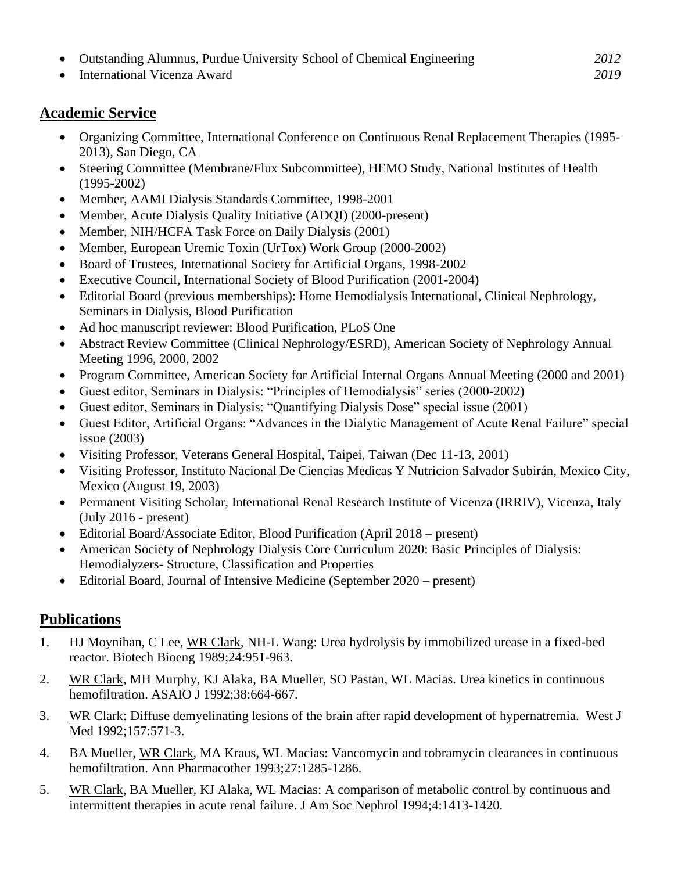- Outstanding Alumnus, Purdue University School of Chemical Engineering *2012*
- International Vicenza Award *2019*

## **Academic Service**

- Organizing Committee, International Conference on Continuous Renal Replacement Therapies (1995- 2013), San Diego, CA
- Steering Committee (Membrane/Flux Subcommittee), HEMO Study, National Institutes of Health (1995-2002)
- Member, AAMI Dialysis Standards Committee, 1998-2001
- Member, Acute Dialysis Quality Initiative (ADQI) (2000-present)
- Member, NIH/HCFA Task Force on Daily Dialysis (2001)
- Member, European Uremic Toxin (UrTox) Work Group (2000-2002)
- Board of Trustees, International Society for Artificial Organs, 1998-2002
- Executive Council, International Society of Blood Purification (2001-2004)
- Editorial Board (previous memberships): Home Hemodialysis International, Clinical Nephrology, Seminars in Dialysis, Blood Purification
- Ad hoc manuscript reviewer: Blood Purification, PLoS One
- Abstract Review Committee (Clinical Nephrology/ESRD), American Society of Nephrology Annual Meeting 1996, 2000, 2002
- Program Committee, American Society for Artificial Internal Organs Annual Meeting (2000 and 2001)
- Guest editor, Seminars in Dialysis: "Principles of Hemodialysis" series (2000-2002)
- Guest editor, Seminars in Dialysis: "Quantifying Dialysis Dose" special issue (2001)
- Guest Editor, Artificial Organs: "Advances in the Dialytic Management of Acute Renal Failure" special issue (2003)
- Visiting Professor, Veterans General Hospital, Taipei, Taiwan (Dec 11-13, 2001)
- Visiting Professor, Instituto Nacional De Ciencias Medicas Y Nutricion Salvador Subirán, Mexico City, Mexico (August 19, 2003)
- Permanent Visiting Scholar, International Renal Research Institute of Vicenza (IRRIV), Vicenza, Italy (July 2016 - present)
- Editorial Board/Associate Editor, Blood Purification (April 2018 present)
- American Society of Nephrology Dialysis Core Curriculum 2020: Basic Principles of Dialysis: Hemodialyzers- Structure, Classification and Properties
- Editorial Board, Journal of Intensive Medicine (September 2020 present)

## **Publications**

- 1. HJ Moynihan, C Lee, WR Clark, NH-L Wang: Urea hydrolysis by immobilized urease in a fixed-bed reactor. Biotech Bioeng 1989;24:951-963.
- 2. WR Clark, MH Murphy, KJ Alaka, BA Mueller, SO Pastan, WL Macias. Urea kinetics in continuous hemofiltration. ASAIO J 1992;38:664-667.
- 3. WR Clark: Diffuse demyelinating lesions of the brain after rapid development of hypernatremia. West J Med 1992;157:571-3.
- 4. BA Mueller, WR Clark, MA Kraus, WL Macias: Vancomycin and tobramycin clearances in continuous hemofiltration. Ann Pharmacother 1993;27:1285-1286.
- 5. WR Clark, BA Mueller, KJ Alaka, WL Macias: A comparison of metabolic control by continuous and intermittent therapies in acute renal failure. J Am Soc Nephrol 1994;4:1413-1420.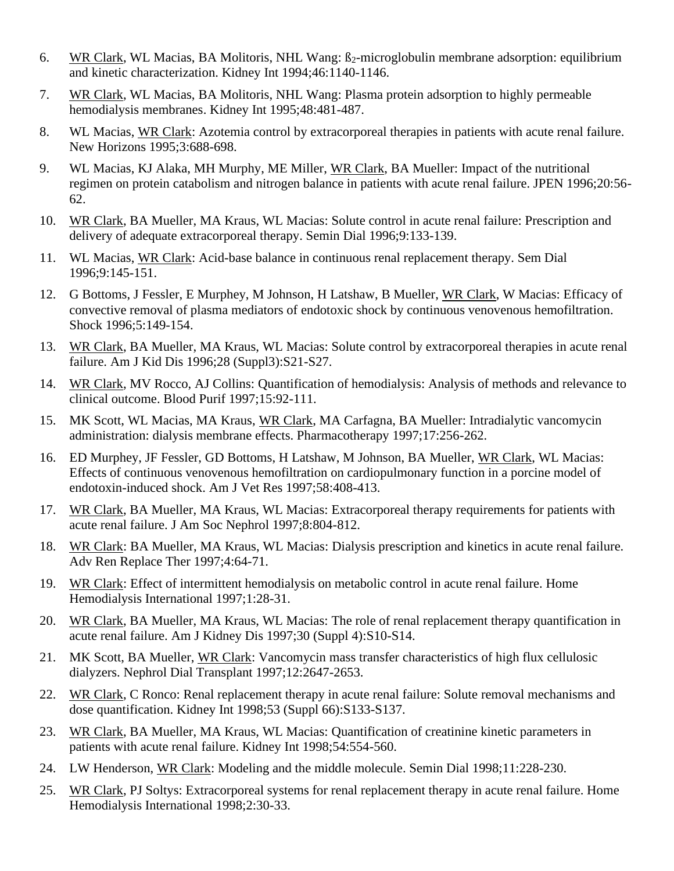- 6. WR Clark, WL Macias, BA Molitoris, NHL Wang:  $\beta_2$ -microglobulin membrane adsorption: equilibrium and kinetic characterization. Kidney Int 1994;46:1140-1146.
- 7. WR Clark, WL Macias, BA Molitoris, NHL Wang: Plasma protein adsorption to highly permeable hemodialysis membranes. Kidney Int 1995;48:481-487.
- 8. WL Macias, WR Clark: Azotemia control by extracorporeal therapies in patients with acute renal failure. New Horizons 1995;3:688-698.
- 9. WL Macias, KJ Alaka, MH Murphy, ME Miller, WR Clark, BA Mueller: Impact of the nutritional regimen on protein catabolism and nitrogen balance in patients with acute renal failure. JPEN 1996;20:56- 62.
- 10. WR Clark, BA Mueller, MA Kraus, WL Macias: Solute control in acute renal failure: Prescription and delivery of adequate extracorporeal therapy. Semin Dial 1996;9:133-139.
- 11. WL Macias, WR Clark: Acid-base balance in continuous renal replacement therapy. Sem Dial 1996;9:145-151.
- 12. G Bottoms, J Fessler, E Murphey, M Johnson, H Latshaw, B Mueller, WR Clark, W Macias: Efficacy of convective removal of plasma mediators of endotoxic shock by continuous venovenous hemofiltration. Shock 1996;5:149-154.
- 13. WR Clark, BA Mueller, MA Kraus, WL Macias: Solute control by extracorporeal therapies in acute renal failure. Am J Kid Dis 1996;28 (Suppl3):S21-S27.
- 14. WR Clark, MV Rocco, AJ Collins: Quantification of hemodialysis: Analysis of methods and relevance to clinical outcome. Blood Purif 1997;15:92-111.
- 15. MK Scott, WL Macias, MA Kraus, WR Clark, MA Carfagna, BA Mueller: Intradialytic vancomycin administration: dialysis membrane effects. Pharmacotherapy 1997;17:256-262.
- 16. ED Murphey, JF Fessler, GD Bottoms, H Latshaw, M Johnson, BA Mueller, WR Clark, WL Macias: Effects of continuous venovenous hemofiltration on cardiopulmonary function in a porcine model of endotoxin-induced shock. Am J Vet Res 1997;58:408-413.
- 17. WR Clark, BA Mueller, MA Kraus, WL Macias: Extracorporeal therapy requirements for patients with acute renal failure. J Am Soc Nephrol 1997;8:804-812.
- 18. WR Clark: BA Mueller, MA Kraus, WL Macias: Dialysis prescription and kinetics in acute renal failure. Adv Ren Replace Ther 1997;4:64-71.
- 19. WR Clark: Effect of intermittent hemodialysis on metabolic control in acute renal failure. Home Hemodialysis International 1997;1:28-31.
- 20. WR Clark, BA Mueller, MA Kraus, WL Macias: The role of renal replacement therapy quantification in acute renal failure. Am J Kidney Dis 1997;30 (Suppl 4):S10-S14.
- 21. MK Scott, BA Mueller, WR Clark: Vancomycin mass transfer characteristics of high flux cellulosic dialyzers. Nephrol Dial Transplant 1997;12:2647-2653.
- 22. WR Clark, C Ronco: Renal replacement therapy in acute renal failure: Solute removal mechanisms and dose quantification. Kidney Int 1998;53 (Suppl 66):S133-S137.
- 23. WR Clark, BA Mueller, MA Kraus, WL Macias: Quantification of creatinine kinetic parameters in patients with acute renal failure. Kidney Int 1998;54:554-560.
- 24. LW Henderson, WR Clark: Modeling and the middle molecule. Semin Dial 1998;11:228-230.
- 25. WR Clark, PJ Soltys: Extracorporeal systems for renal replacement therapy in acute renal failure. Home Hemodialysis International 1998;2:30-33.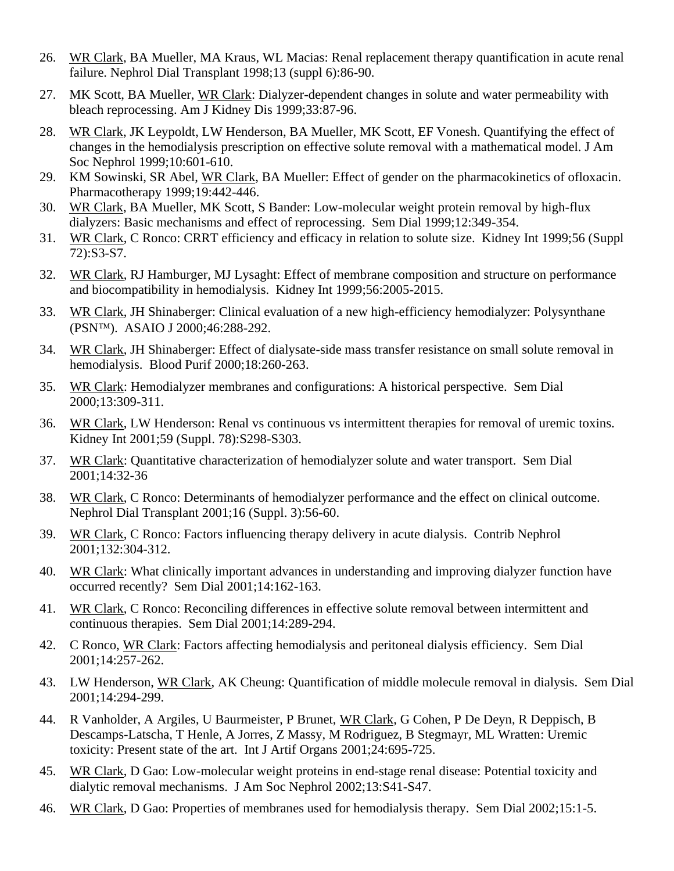- 26. WR Clark, BA Mueller, MA Kraus, WL Macias: Renal replacement therapy quantification in acute renal failure. Nephrol Dial Transplant 1998;13 (suppl 6):86-90.
- 27. MK Scott, BA Mueller, WR Clark: Dialyzer-dependent changes in solute and water permeability with bleach reprocessing. Am J Kidney Dis 1999;33:87-96.
- 28. WR Clark, JK Leypoldt, LW Henderson, BA Mueller, MK Scott, EF Vonesh. Quantifying the effect of changes in the hemodialysis prescription on effective solute removal with a mathematical model. J Am Soc Nephrol 1999;10:601-610.
- 29. KM Sowinski, SR Abel, WR Clark, BA Mueller: Effect of gender on the pharmacokinetics of ofloxacin. Pharmacotherapy 1999;19:442-446.
- 30. WR Clark, BA Mueller, MK Scott, S Bander: Low-molecular weight protein removal by high-flux dialyzers: Basic mechanisms and effect of reprocessing. Sem Dial 1999;12:349-354.
- 31. WR Clark, C Ronco: CRRT efficiency and efficacy in relation to solute size. Kidney Int 1999;56 (Suppl 72):S3-S7.
- 32. WR Clark, RJ Hamburger, MJ Lysaght: Effect of membrane composition and structure on performance and biocompatibility in hemodialysis. Kidney Int 1999;56:2005-2015.
- 33. WR Clark, JH Shinaberger: Clinical evaluation of a new high-efficiency hemodialyzer: Polysynthane (PSN<sup>TM</sup>). ASAIO J 2000;46:288-292.
- 34. WR Clark, JH Shinaberger: Effect of dialysate-side mass transfer resistance on small solute removal in hemodialysis. Blood Purif 2000;18:260-263.
- 35. WR Clark: Hemodialyzer membranes and configurations: A historical perspective. Sem Dial 2000;13:309-311.
- 36. WR Clark, LW Henderson: Renal vs continuous vs intermittent therapies for removal of uremic toxins. Kidney Int 2001;59 (Suppl. 78):S298-S303.
- 37. WR Clark: Quantitative characterization of hemodialyzer solute and water transport. Sem Dial 2001;14:32-36
- 38. WR Clark, C Ronco: Determinants of hemodialyzer performance and the effect on clinical outcome. Nephrol Dial Transplant 2001;16 (Suppl. 3):56-60.
- 39. WR Clark, C Ronco: Factors influencing therapy delivery in acute dialysis. Contrib Nephrol 2001;132:304-312.
- 40. WR Clark: What clinically important advances in understanding and improving dialyzer function have occurred recently? Sem Dial 2001;14:162-163.
- 41. WR Clark, C Ronco: Reconciling differences in effective solute removal between intermittent and continuous therapies. Sem Dial 2001;14:289-294.
- 42. C Ronco, WR Clark: Factors affecting hemodialysis and peritoneal dialysis efficiency. Sem Dial 2001;14:257-262.
- 43. LW Henderson, WR Clark, AK Cheung: Quantification of middle molecule removal in dialysis. Sem Dial 2001;14:294-299.
- 44. R Vanholder, A Argiles, U Baurmeister, P Brunet, WR Clark, G Cohen, P De Deyn, R Deppisch, B Descamps-Latscha, T Henle, A Jorres, Z Massy, M Rodriguez, B Stegmayr, ML Wratten: Uremic toxicity: Present state of the art. Int J Artif Organs 2001;24:695-725.
- 45. WR Clark, D Gao: Low-molecular weight proteins in end-stage renal disease: Potential toxicity and dialytic removal mechanisms. J Am Soc Nephrol 2002;13:S41-S47.
- 46. WR Clark, D Gao: Properties of membranes used for hemodialysis therapy. Sem Dial 2002;15:1-5.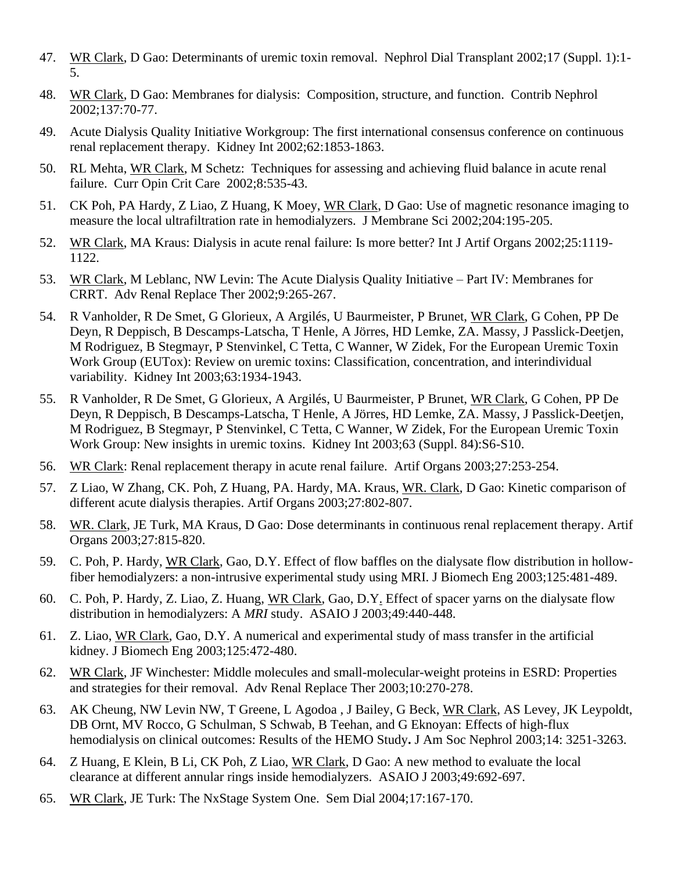- 47. WR Clark, D Gao: Determinants of uremic toxin removal. Nephrol Dial Transplant 2002;17 (Suppl. 1):1- 5.
- 48. WR Clark, D Gao: Membranes for dialysis: Composition, structure, and function. Contrib Nephrol 2002;137:70-77.
- 49. Acute Dialysis Quality Initiative Workgroup: The first international consensus conference on continuous renal replacement therapy. Kidney Int 2002;62:1853-1863.
- 50. RL Mehta, WR Clark, M Schetz: Techniques for assessing and achieving fluid balance in acute renal failure. Curr Opin Crit Care 2002;8:535-43.
- 51. CK Poh, PA Hardy, Z Liao, Z Huang, K Moey, WR Clark, D Gao: Use of magnetic resonance imaging to measure the local ultrafiltration rate in hemodialyzers. J Membrane Sci 2002;204:195-205.
- 52. WR Clark, MA Kraus: Dialysis in acute renal failure: Is more better? Int J Artif Organs 2002;25:1119- 1122.
- 53. WR Clark, M Leblanc, NW Levin: The Acute Dialysis Quality Initiative Part IV: Membranes for CRRT. Adv Renal Replace Ther 2002;9:265-267.
- 54. R Vanholder, R De Smet, G Glorieux, A Argilés, U Baurmeister, P Brunet, WR Clark, G Cohen, PP De Deyn, R Deppisch, B Descamps-Latscha, T Henle, A Jörres, HD Lemke, ZA. Massy, J Passlick-Deetjen, M Rodriguez, B Stegmayr, P Stenvinkel, C Tetta, C Wanner, W Zidek, For the European Uremic Toxin Work Group (EUTox): Review on uremic toxins: Classification, concentration, and interindividual variability. Kidney Int 2003;63:1934-1943.
- 55. R Vanholder, R De Smet, G Glorieux, A Argilés, U Baurmeister, P Brunet, WR Clark, G Cohen, PP De Deyn, R Deppisch, B Descamps-Latscha, T Henle, A Jörres, HD Lemke, ZA. Massy, J Passlick-Deetjen, M Rodriguez, B Stegmayr, P Stenvinkel, C Tetta, C Wanner, W Zidek, For the European Uremic Toxin Work Group: New insights in uremic toxins. Kidney Int 2003;63 (Suppl. 84):S6-S10.
- 56. WR Clark: Renal replacement therapy in acute renal failure. Artif Organs 2003;27:253-254.
- 57. Z Liao, W Zhang, CK. Poh, Z Huang, PA. Hardy, MA. Kraus, WR. Clark, D Gao: Kinetic comparison of different acute dialysis therapies. Artif Organs 2003;27:802-807.
- 58. WR. Clark, JE Turk, MA Kraus, D Gao: Dose determinants in continuous renal replacement therapy. Artif Organs 2003;27:815-820.
- 59. C. Poh, P. Hardy, WR Clark, Gao, D.Y. Effect of flow baffles on the dialysate flow distribution in hollowfiber hemodialyzers: a non-intrusive experimental study using MRI. J Biomech Eng 2003;125:481-489.
- 60. C. Poh, P. Hardy, Z. Liao, Z. Huang, WR Clark, Gao, D.Y. Effect of spacer yarns on the dialysate flow distribution in hemodialyzers: A *MRI* study. ASAIO J 2003;49:440-448.
- 61. Z. Liao, WR Clark, Gao, D.Y. A numerical and experimental study of mass transfer in the artificial kidney. J Biomech Eng 2003;125:472-480.
- 62. WR Clark, JF Winchester: Middle molecules and small-molecular-weight proteins in ESRD: Properties and strategies for their removal. Adv Renal Replace Ther 2003;10:270-278.
- 63. AK Cheung, NW Levin NW, T Greene, L Agodoa , J Bailey, G Beck, WR Clark, AS Levey, JK Leypoldt, DB Ornt, MV Rocco, G Schulman, S Schwab, B Teehan, and G Eknoyan: Effects of high-flux hemodialysis on clinical outcomes: Results of the HEMO Study**.** J Am Soc Nephrol 2003;14: 3251-3263.
- 64. Z Huang, E Klein, B Li, CK Poh, Z Liao, WR Clark, D Gao: A new method to evaluate the local clearance at different annular rings inside hemodialyzers. ASAIO J 2003;49:692-697.
- 65. WR Clark, JE Turk: The NxStage System One. Sem Dial 2004;17:167-170.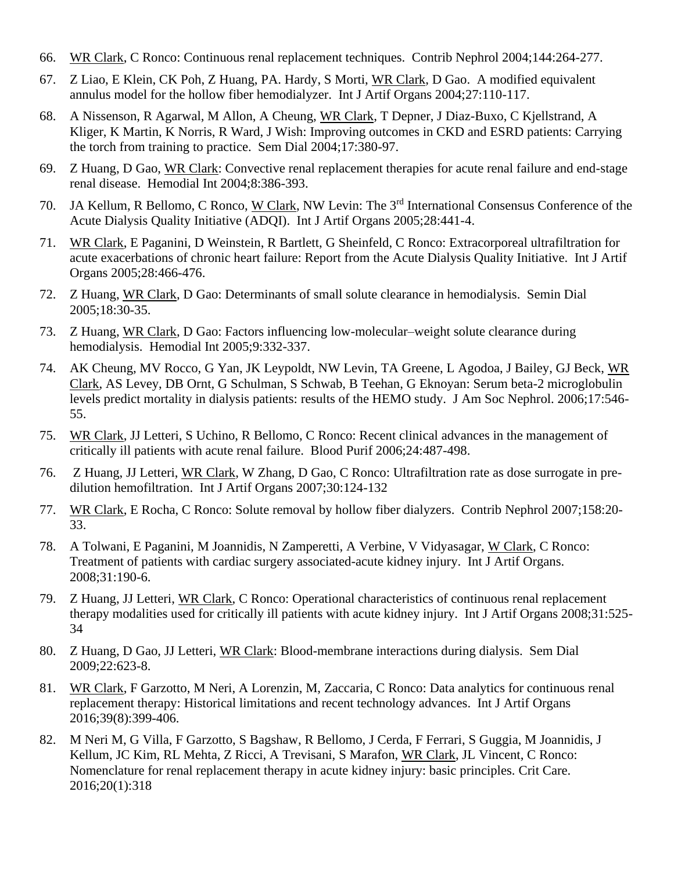- 66. WR Clark, C Ronco: Continuous renal replacement techniques. Contrib Nephrol 2004;144:264-277.
- 67. Z Liao, E Klein, CK Poh, Z Huang, PA. Hardy, S Morti, WR Clark, D Gao. A modified equivalent annulus model for the hollow fiber hemodialyzer. Int J Artif Organs 2004;27:110-117.
- 68. A Nissenson, R Agarwal, M Allon, A Cheung, WR Clark, T Depner, J Diaz-Buxo, C Kjellstrand, A Kliger, K Martin, K Norris, R Ward, J Wish: Improving outcomes in CKD and ESRD patients: Carrying the torch from training to practice. Sem Dial 2004;17:380-97.
- 69. Z Huang, D Gao, WR Clark: Convective renal replacement therapies for acute renal failure and end-stage renal disease. Hemodial Int 2004;8:386-393.
- 70. JA Kellum, R Bellomo, C Ronco, W Clark, NW Levin: The 3rd International Consensus Conference of the Acute Dialysis Quality Initiative (ADQI). Int J Artif Organs 2005;28:441-4.
- 71. WR Clark, E Paganini, D Weinstein, R Bartlett, G Sheinfeld, C Ronco: Extracorporeal ultrafiltration for acute exacerbations of chronic heart failure: Report from the Acute Dialysis Quality Initiative. Int J Artif Organs 2005;28:466-476.
- 72. Z Huang, WR Clark, D Gao: Determinants of small solute clearance in hemodialysis. Semin Dial 2005;18:30-35.
- 73. Z Huang, WR Clark, D Gao: Factors influencing low-molecular–weight solute clearance during hemodialysis. Hemodial Int 2005;9:332-337.
- 74. AK Cheung, MV Rocco, G Yan, JK Leypoldt, NW Levin, TA Greene, L Agodoa, J Bailey, GJ Beck, WR Clark, AS Levey, DB Ornt, G Schulman, S Schwab, B Teehan, G Eknoyan: Serum beta-2 microglobulin levels predict mortality in dialysis patients: results of the HEMO study. J Am Soc Nephrol. 2006;17:546- 55.
- 75. WR Clark, JJ Letteri, S Uchino, R Bellomo, C Ronco: Recent clinical advances in the management of critically ill patients with acute renal failure. Blood Purif 2006;24:487-498.
- 76. Z Huang, JJ Letteri, WR Clark, W Zhang, D Gao, C Ronco: Ultrafiltration rate as dose surrogate in predilution hemofiltration. Int J Artif Organs 2007;30:124-132
- 77. WR Clark, E Rocha, C Ronco: Solute removal by hollow fiber dialyzers. Contrib Nephrol 2007;158:20- 33.
- 78. A Tolwani, E Paganini, M Joannidis, N Zamperetti, A Verbine, V Vidyasagar, W Clark, C Ronco: Treatment of patients with cardiac surgery associated-acute kidney injury. Int J Artif Organs. 2008;31:190-6.
- 79. Z Huang, JJ Letteri, WR Clark, C Ronco: Operational characteristics of continuous renal replacement therapy modalities used for critically ill patients with acute kidney injury. Int J Artif Organs 2008;31:525- 34
- 80. Z Huang, D Gao, JJ Letteri, WR Clark: Blood-membrane interactions during dialysis. Sem Dial 2009;22:623-8.
- 81. WR Clark, F Garzotto, M Neri, A Lorenzin, M, Zaccaria, C Ronco: Data analytics for continuous renal replacement therapy: Historical limitations and recent technology advances. Int J Artif Organs 2016;39(8):399-406.
- 82. M Neri M, G Villa, F Garzotto, S Bagshaw, R Bellomo, J Cerda, F Ferrari, S Guggia, M Joannidis, J Kellum, JC Kim, RL Mehta, Z Ricci, A Trevisani, S Marafon, WR Clark, JL Vincent, C Ronco: [Nomenclature for renal replacement therapy in acute kidney injury: basic principles.](https://www.ncbi.nlm.nih.gov/pubmed/27719682) Crit Care. 2016;20(1):318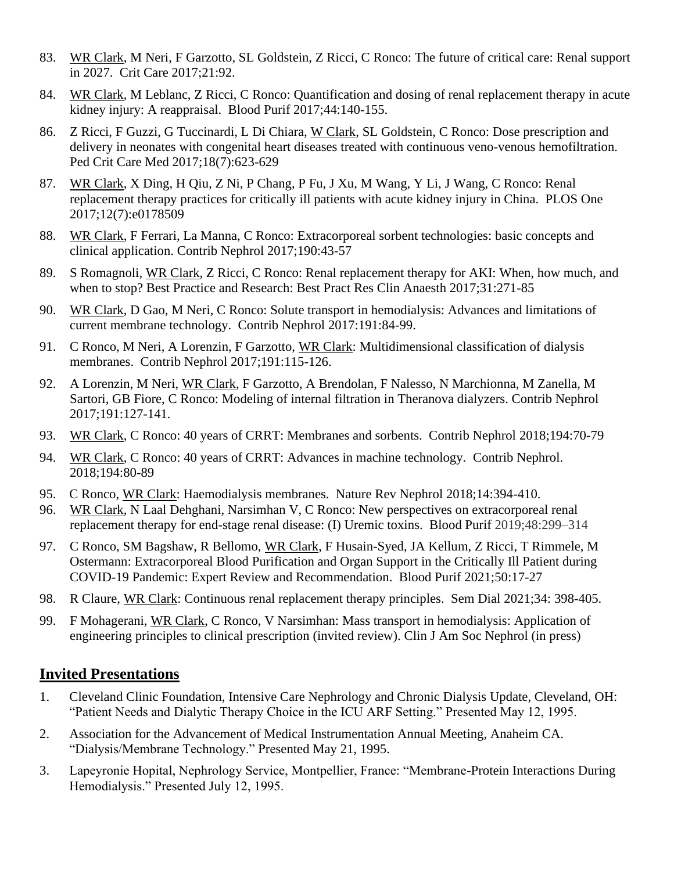- 83. WR Clark, M Neri, F Garzotto, SL Goldstein, Z Ricci, C Ronco: The future of critical care: Renal support in 2027. Crit Care 2017;21:92.
- 84. WR Clark, M Leblanc, Z Ricci, C Ronco: Quantification and dosing of renal replacement therapy in acute kidney injury: A reappraisal. Blood Purif 2017;44:140-155.
- 86. Z Ricci, F Guzzi, G Tuccinardi, L Di Chiara, W Clark, SL Goldstein, C Ronco: Dose prescription and delivery in neonates with congenital heart diseases treated with continuous veno-venous hemofiltration. Ped Crit Care Med 2017;18(7):623-629
- 87. WR Clark, X Ding, H Qiu, Z Ni, P Chang, P Fu, J Xu, M Wang, Y Li, J Wang, C Ronco: Renal replacement therapy practices for critically ill patients with acute kidney injury in China. PLOS One 2017;12(7):e0178509
- 88. WR Clark, F Ferrari, La Manna, C Ronco: [Extracorporeal sorbent technologies: basic concepts and](https://www.ncbi.nlm.nih.gov/pubmed/28535518)  [clinical application.](https://www.ncbi.nlm.nih.gov/pubmed/28535518) Contrib Nephrol 2017;190:43-57
- 89. S Romagnoli, WR Clark, Z Ricci, C Ronco: Renal replacement therapy for AKI: When, how much, and when to stop? Best Practice and Research: Best Pract Res Clin Anaesth 2017;31:271-85
- 90. WR Clark, D Gao, M Neri, C Ronco: Solute transport in hemodialysis: Advances and limitations of current membrane technology. Contrib Nephrol 2017:191:84-99.
- 91. C Ronco, M Neri, A Lorenzin, F Garzotto, WR Clark: Multidimensional classification of dialysis membranes. Contrib Nephrol 2017;191:115-126.
- 92. A Lorenzin, M Neri, WR Clark, F Garzotto, A Brendolan, F Nalesso, N Marchionna, M Zanella, M Sartori, GB Fiore, C Ronco: Modeling of internal filtration in Theranova dialyzers. Contrib Nephrol 2017;191:127-141.
- 93. WR Clark, C Ronco: 40 years of CRRT: Membranes and sorbents. Contrib Nephrol 2018;194:70-79
- 94. WR Clark, C Ronco: 40 years of CRRT: Advances in machine technology. Contrib Nephrol. 2018;194:80-89
- 95. C Ronco, WR Clark: Haemodialysis membranes. Nature Rev Nephrol 2018;14:394-410.
- 96. WR Clark, N Laal Dehghani, Narsimhan V, C Ronco: New perspectives on extracorporeal renal replacement therapy for end-stage renal disease: (I) Uremic toxins. Blood Purif 2019;48:299–314
- 97. C Ronco, SM Bagshaw, R Bellomo, WR Clark, F Husain-Syed, JA Kellum, Z Ricci, T Rimmele, M Ostermann: [Extracorporeal Blood Purification and Organ Support in the Critically Ill Patient during](https://www.karger.com/Article/FullText/508125)  [COVID-19 Pandemic: Expert Review and Recommendation.](https://www.karger.com/Article/FullText/508125) Blood Purif 2021;50:17-27
- 98. R Claure, WR Clark: Continuous renal replacement therapy principles. Sem Dial 2021;34: 398-405.
- 99. F Mohagerani, WR Clark, C Ronco, V Narsimhan: Mass transport in hemodialysis: Application of engineering principles to clinical prescription (invited review). Clin J Am Soc Nephrol (in press)

#### **Invited Presentations**

- 1. Cleveland Clinic Foundation, Intensive Care Nephrology and Chronic Dialysis Update, Cleveland, OH: "Patient Needs and Dialytic Therapy Choice in the ICU ARF Setting." Presented May 12, 1995.
- 2. Association for the Advancement of Medical Instrumentation Annual Meeting, Anaheim CA. "Dialysis/Membrane Technology." Presented May 21, 1995.
- 3. Lapeyronie Hopital, Nephrology Service, Montpellier, France: "Membrane-Protein Interactions During Hemodialysis." Presented July 12, 1995.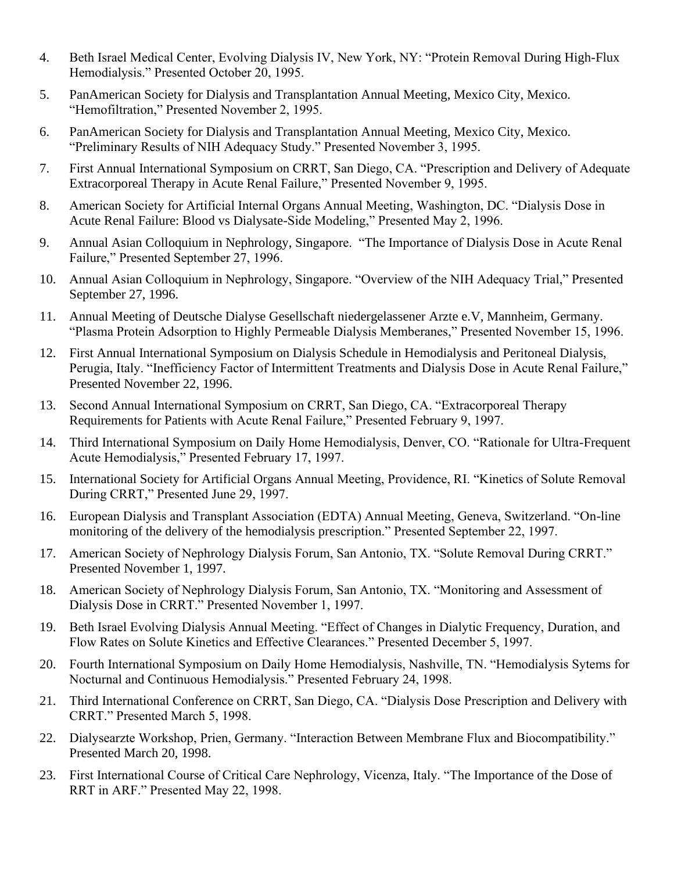- 4. Beth Israel Medical Center, Evolving Dialysis IV, New York, NY: "Protein Removal During High-Flux Hemodialysis." Presented October 20, 1995.
- 5. PanAmerican Society for Dialysis and Transplantation Annual Meeting, Mexico City, Mexico. "Hemofiltration," Presented November 2, 1995.
- 6. PanAmerican Society for Dialysis and Transplantation Annual Meeting, Mexico City, Mexico. "Preliminary Results of NIH Adequacy Study." Presented November 3, 1995.
- 7. First Annual International Symposium on CRRT, San Diego, CA. "Prescription and Delivery of Adequate Extracorporeal Therapy in Acute Renal Failure," Presented November 9, 1995.
- 8. American Society for Artificial Internal Organs Annual Meeting, Washington, DC. "Dialysis Dose in Acute Renal Failure: Blood vs Dialysate-Side Modeling," Presented May 2, 1996.
- 9. Annual Asian Colloquium in Nephrology, Singapore. "The Importance of Dialysis Dose in Acute Renal Failure," Presented September 27, 1996.
- 10. Annual Asian Colloquium in Nephrology, Singapore. "Overview of the NIH Adequacy Trial," Presented September 27, 1996.
- 11. Annual Meeting of Deutsche Dialyse Gesellschaft niedergelassener Arzte e.V, Mannheim, Germany. "Plasma Protein Adsorption to Highly Permeable Dialysis Memberanes," Presented November 15, 1996.
- 12. First Annual International Symposium on Dialysis Schedule in Hemodialysis and Peritoneal Dialysis, Perugia, Italy. "Inefficiency Factor of Intermittent Treatments and Dialysis Dose in Acute Renal Failure," Presented November 22, 1996.
- 13. Second Annual International Symposium on CRRT, San Diego, CA. "Extracorporeal Therapy Requirements for Patients with Acute Renal Failure," Presented February 9, 1997.
- 14. Third International Symposium on Daily Home Hemodialysis, Denver, CO. "Rationale for Ultra-Frequent Acute Hemodialysis," Presented February 17, 1997.
- 15. International Society for Artificial Organs Annual Meeting, Providence, RI. "Kinetics of Solute Removal During CRRT," Presented June 29, 1997.
- 16. European Dialysis and Transplant Association (EDTA) Annual Meeting, Geneva, Switzerland. "On-line monitoring of the delivery of the hemodialysis prescription." Presented September 22, 1997.
- 17. American Society of Nephrology Dialysis Forum, San Antonio, TX. "Solute Removal During CRRT." Presented November 1, 1997.
- 18. American Society of Nephrology Dialysis Forum, San Antonio, TX. "Monitoring and Assessment of Dialysis Dose in CRRT." Presented November 1, 1997.
- 19. Beth Israel Evolving Dialysis Annual Meeting. "Effect of Changes in Dialytic Frequency, Duration, and Flow Rates on Solute Kinetics and Effective Clearances." Presented December 5, 1997.
- 20. Fourth International Symposium on Daily Home Hemodialysis, Nashville, TN. "Hemodialysis Sytems for Nocturnal and Continuous Hemodialysis." Presented February 24, 1998.
- 21. Third International Conference on CRRT, San Diego, CA. "Dialysis Dose Prescription and Delivery with CRRT." Presented March 5, 1998.
- 22. Dialysearzte Workshop, Prien, Germany. "Interaction Between Membrane Flux and Biocompatibility." Presented March 20, 1998.
- 23. First International Course of Critical Care Nephrology, Vicenza, Italy. "The Importance of the Dose of RRT in ARF." Presented May 22, 1998.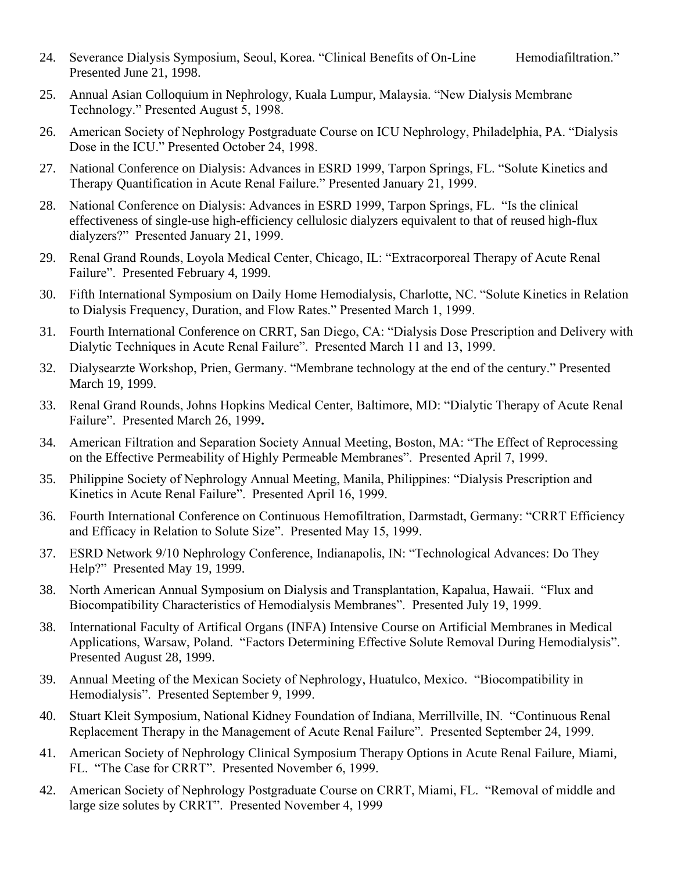- 24. Severance Dialysis Symposium, Seoul, Korea. "Clinical Benefits of On-Line Hemodiafiltration." Presented June 21, 1998.
- 25. Annual Asian Colloquium in Nephrology, Kuala Lumpur, Malaysia. "New Dialysis Membrane Technology." Presented August 5, 1998.
- 26. American Society of Nephrology Postgraduate Course on ICU Nephrology, Philadelphia, PA. "Dialysis Dose in the ICU." Presented October 24, 1998.
- 27. National Conference on Dialysis: Advances in ESRD 1999, Tarpon Springs, FL. "Solute Kinetics and Therapy Quantification in Acute Renal Failure." Presented January 21, 1999.
- 28. National Conference on Dialysis: Advances in ESRD 1999, Tarpon Springs, FL. "Is the clinical effectiveness of single-use high-efficiency cellulosic dialyzers equivalent to that of reused high-flux dialyzers?" Presented January 21, 1999.
- 29. Renal Grand Rounds, Loyola Medical Center, Chicago, IL: "Extracorporeal Therapy of Acute Renal Failure". Presented February 4, 1999.
- 30. Fifth International Symposium on Daily Home Hemodialysis, Charlotte, NC. "Solute Kinetics in Relation to Dialysis Frequency, Duration, and Flow Rates." Presented March 1, 1999.
- 31. Fourth International Conference on CRRT, San Diego, CA: "Dialysis Dose Prescription and Delivery with Dialytic Techniques in Acute Renal Failure". Presented March 11 and 13, 1999.
- 32. Dialysearzte Workshop, Prien, Germany. "Membrane technology at the end of the century." Presented March 19, 1999.
- 33. Renal Grand Rounds, Johns Hopkins Medical Center, Baltimore, MD: "Dialytic Therapy of Acute Renal Failure". Presented March 26, 1999**.**
- 34. American Filtration and Separation Society Annual Meeting, Boston, MA: "The Effect of Reprocessing on the Effective Permeability of Highly Permeable Membranes". Presented April 7, 1999.
- 35. Philippine Society of Nephrology Annual Meeting, Manila, Philippines: "Dialysis Prescription and Kinetics in Acute Renal Failure". Presented April 16, 1999.
- 36. Fourth International Conference on Continuous Hemofiltration, Darmstadt, Germany: "CRRT Efficiency and Efficacy in Relation to Solute Size". Presented May 15, 1999.
- 37. ESRD Network 9/10 Nephrology Conference, Indianapolis, IN: "Technological Advances: Do They Help?" Presented May 19, 1999.
- 38. North American Annual Symposium on Dialysis and Transplantation, Kapalua, Hawaii. "Flux and Biocompatibility Characteristics of Hemodialysis Membranes". Presented July 19, 1999.
- 38. International Faculty of Artifical Organs (INFA) Intensive Course on Artificial Membranes in Medical Applications, Warsaw, Poland. "Factors Determining Effective Solute Removal During Hemodialysis". Presented August 28, 1999.
- 39. Annual Meeting of the Mexican Society of Nephrology, Huatulco, Mexico. "Biocompatibility in Hemodialysis". Presented September 9, 1999.
- 40. Stuart Kleit Symposium, National Kidney Foundation of Indiana, Merrillville, IN. "Continuous Renal Replacement Therapy in the Management of Acute Renal Failure". Presented September 24, 1999.
- 41. American Society of Nephrology Clinical Symposium Therapy Options in Acute Renal Failure, Miami, FL. "The Case for CRRT". Presented November 6, 1999.
- 42. American Society of Nephrology Postgraduate Course on CRRT, Miami, FL. "Removal of middle and large size solutes by CRRT". Presented November 4, 1999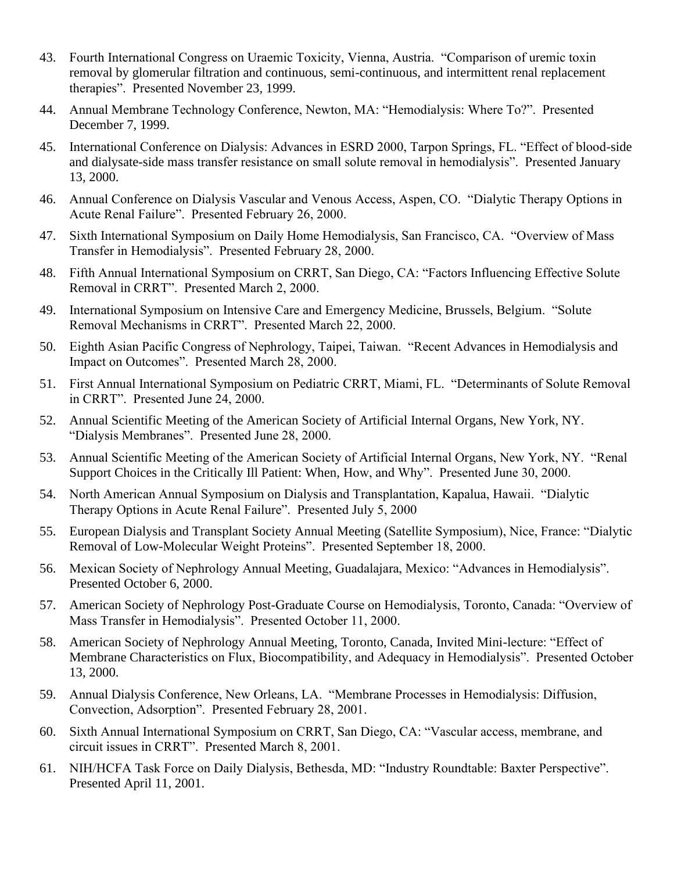- 43. Fourth International Congress on Uraemic Toxicity, Vienna, Austria. "Comparison of uremic toxin removal by glomerular filtration and continuous, semi-continuous, and intermittent renal replacement therapies". Presented November 23, 1999.
- 44. Annual Membrane Technology Conference, Newton, MA: "Hemodialysis: Where To?". Presented December 7, 1999.
- 45. International Conference on Dialysis: Advances in ESRD 2000, Tarpon Springs, FL. "Effect of blood-side and dialysate-side mass transfer resistance on small solute removal in hemodialysis". Presented January 13, 2000.
- 46. Annual Conference on Dialysis Vascular and Venous Access, Aspen, CO. "Dialytic Therapy Options in Acute Renal Failure". Presented February 26, 2000.
- 47. Sixth International Symposium on Daily Home Hemodialysis, San Francisco, CA. "Overview of Mass Transfer in Hemodialysis". Presented February 28, 2000.
- 48. Fifth Annual International Symposium on CRRT, San Diego, CA: "Factors Influencing Effective Solute Removal in CRRT". Presented March 2, 2000.
- 49. International Symposium on Intensive Care and Emergency Medicine, Brussels, Belgium. "Solute Removal Mechanisms in CRRT". Presented March 22, 2000.
- 50. Eighth Asian Pacific Congress of Nephrology, Taipei, Taiwan. "Recent Advances in Hemodialysis and Impact on Outcomes". Presented March 28, 2000.
- 51. First Annual International Symposium on Pediatric CRRT, Miami, FL. "Determinants of Solute Removal in CRRT". Presented June 24, 2000.
- 52. Annual Scientific Meeting of the American Society of Artificial Internal Organs, New York, NY. "Dialysis Membranes". Presented June 28, 2000.
- 53. Annual Scientific Meeting of the American Society of Artificial Internal Organs, New York, NY. "Renal Support Choices in the Critically Ill Patient: When, How, and Why". Presented June 30, 2000.
- 54. North American Annual Symposium on Dialysis and Transplantation, Kapalua, Hawaii. "Dialytic Therapy Options in Acute Renal Failure". Presented July 5, 2000
- 55. European Dialysis and Transplant Society Annual Meeting (Satellite Symposium), Nice, France: "Dialytic Removal of Low-Molecular Weight Proteins". Presented September 18, 2000.
- 56. Mexican Society of Nephrology Annual Meeting, Guadalajara, Mexico: "Advances in Hemodialysis". Presented October 6, 2000.
- 57. American Society of Nephrology Post-Graduate Course on Hemodialysis, Toronto, Canada: "Overview of Mass Transfer in Hemodialysis". Presented October 11, 2000.
- 58. American Society of Nephrology Annual Meeting, Toronto, Canada, Invited Mini-lecture: "Effect of Membrane Characteristics on Flux, Biocompatibility, and Adequacy in Hemodialysis". Presented October 13, 2000.
- 59. Annual Dialysis Conference, New Orleans, LA. "Membrane Processes in Hemodialysis: Diffusion, Convection, Adsorption". Presented February 28, 2001.
- 60. Sixth Annual International Symposium on CRRT, San Diego, CA: "Vascular access, membrane, and circuit issues in CRRT". Presented March 8, 2001.
- 61. NIH/HCFA Task Force on Daily Dialysis, Bethesda, MD: "Industry Roundtable: Baxter Perspective". Presented April 11, 2001.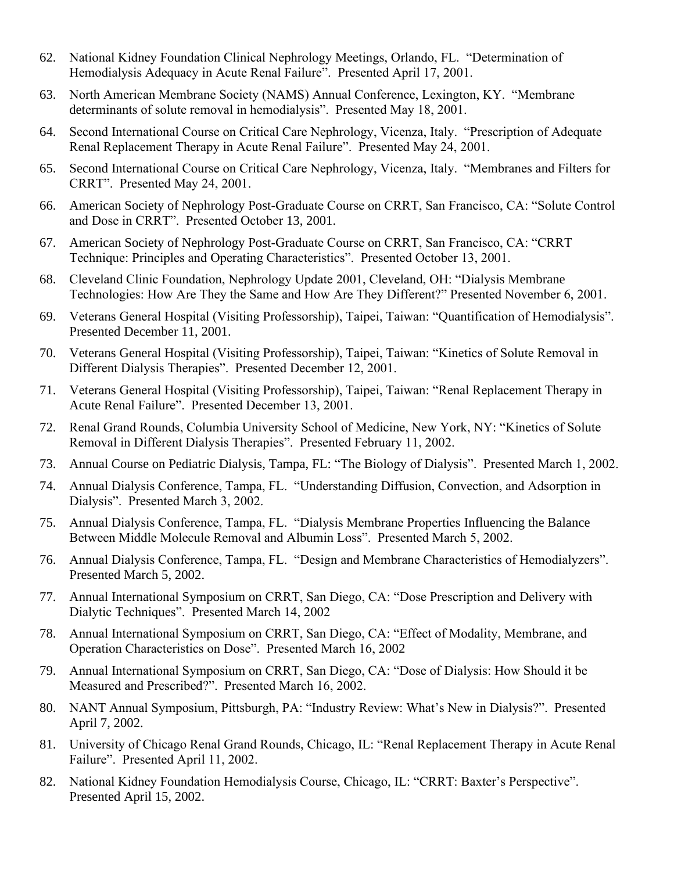- 62. National Kidney Foundation Clinical Nephrology Meetings, Orlando, FL. "Determination of Hemodialysis Adequacy in Acute Renal Failure". Presented April 17, 2001.
- 63. North American Membrane Society (NAMS) Annual Conference, Lexington, KY. "Membrane determinants of solute removal in hemodialysis". Presented May 18, 2001.
- 64. Second International Course on Critical Care Nephrology, Vicenza, Italy. "Prescription of Adequate Renal Replacement Therapy in Acute Renal Failure". Presented May 24, 2001.
- 65. Second International Course on Critical Care Nephrology, Vicenza, Italy. "Membranes and Filters for CRRT". Presented May 24, 2001.
- 66. American Society of Nephrology Post-Graduate Course on CRRT, San Francisco, CA: "Solute Control and Dose in CRRT". Presented October 13, 2001.
- 67. American Society of Nephrology Post-Graduate Course on CRRT, San Francisco, CA: "CRRT Technique: Principles and Operating Characteristics". Presented October 13, 2001.
- 68. Cleveland Clinic Foundation, Nephrology Update 2001, Cleveland, OH: "Dialysis Membrane Technologies: How Are They the Same and How Are They Different?" Presented November 6, 2001.
- 69. Veterans General Hospital (Visiting Professorship), Taipei, Taiwan: "Quantification of Hemodialysis". Presented December 11, 2001.
- 70. Veterans General Hospital (Visiting Professorship), Taipei, Taiwan: "Kinetics of Solute Removal in Different Dialysis Therapies". Presented December 12, 2001.
- 71. Veterans General Hospital (Visiting Professorship), Taipei, Taiwan: "Renal Replacement Therapy in Acute Renal Failure". Presented December 13, 2001.
- 72. Renal Grand Rounds, Columbia University School of Medicine, New York, NY: "Kinetics of Solute Removal in Different Dialysis Therapies". Presented February 11, 2002.
- 73. Annual Course on Pediatric Dialysis, Tampa, FL: "The Biology of Dialysis". Presented March 1, 2002.
- 74. Annual Dialysis Conference, Tampa, FL. "Understanding Diffusion, Convection, and Adsorption in Dialysis". Presented March 3, 2002.
- 75. Annual Dialysis Conference, Tampa, FL. "Dialysis Membrane Properties Influencing the Balance Between Middle Molecule Removal and Albumin Loss". Presented March 5, 2002.
- 76. Annual Dialysis Conference, Tampa, FL. "Design and Membrane Characteristics of Hemodialyzers". Presented March 5, 2002.
- 77. Annual International Symposium on CRRT, San Diego, CA: "Dose Prescription and Delivery with Dialytic Techniques". Presented March 14, 2002
- 78. Annual International Symposium on CRRT, San Diego, CA: "Effect of Modality, Membrane, and Operation Characteristics on Dose". Presented March 16, 2002
- 79. Annual International Symposium on CRRT, San Diego, CA: "Dose of Dialysis: How Should it be Measured and Prescribed?". Presented March 16, 2002.
- 80. NANT Annual Symposium, Pittsburgh, PA: "Industry Review: What's New in Dialysis?". Presented April 7, 2002.
- 81. University of Chicago Renal Grand Rounds, Chicago, IL: "Renal Replacement Therapy in Acute Renal Failure". Presented April 11, 2002.
- 82. National Kidney Foundation Hemodialysis Course, Chicago, IL: "CRRT: Baxter's Perspective". Presented April 15, 2002.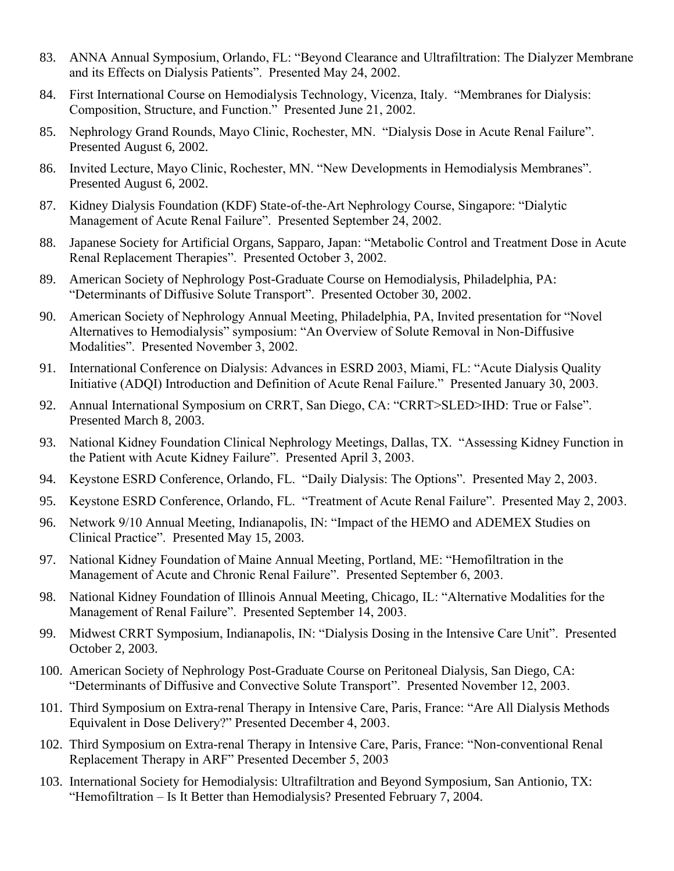- 83. ANNA Annual Symposium, Orlando, FL: "Beyond Clearance and Ultrafiltration: The Dialyzer Membrane and its Effects on Dialysis Patients". Presented May 24, 2002.
- 84. First International Course on Hemodialysis Technology, Vicenza, Italy. "Membranes for Dialysis: Composition, Structure, and Function." Presented June 21, 2002.
- 85. Nephrology Grand Rounds, Mayo Clinic, Rochester, MN. "Dialysis Dose in Acute Renal Failure". Presented August 6, 2002.
- 86. Invited Lecture, Mayo Clinic, Rochester, MN. "New Developments in Hemodialysis Membranes". Presented August 6, 2002.
- 87. Kidney Dialysis Foundation (KDF) State-of-the-Art Nephrology Course, Singapore: "Dialytic Management of Acute Renal Failure". Presented September 24, 2002.
- 88. Japanese Society for Artificial Organs, Sapparo, Japan: "Metabolic Control and Treatment Dose in Acute Renal Replacement Therapies". Presented October 3, 2002.
- 89. American Society of Nephrology Post-Graduate Course on Hemodialysis, Philadelphia, PA: "Determinants of Diffusive Solute Transport". Presented October 30, 2002.
- 90. American Society of Nephrology Annual Meeting, Philadelphia, PA, Invited presentation for "Novel Alternatives to Hemodialysis" symposium: "An Overview of Solute Removal in Non-Diffusive Modalities". Presented November 3, 2002.
- 91. International Conference on Dialysis: Advances in ESRD 2003, Miami, FL: "Acute Dialysis Quality Initiative (ADQI) Introduction and Definition of Acute Renal Failure." Presented January 30, 2003.
- 92. Annual International Symposium on CRRT, San Diego, CA: "CRRT>SLED>IHD: True or False". Presented March 8, 2003.
- 93. National Kidney Foundation Clinical Nephrology Meetings, Dallas, TX. "Assessing Kidney Function in the Patient with Acute Kidney Failure". Presented April 3, 2003.
- 94. Keystone ESRD Conference, Orlando, FL. "Daily Dialysis: The Options". Presented May 2, 2003.
- 95. Keystone ESRD Conference, Orlando, FL. "Treatment of Acute Renal Failure". Presented May 2, 2003.
- 96. Network 9/10 Annual Meeting, Indianapolis, IN: "Impact of the HEMO and ADEMEX Studies on Clinical Practice". Presented May 15, 2003.
- 97. National Kidney Foundation of Maine Annual Meeting, Portland, ME: "Hemofiltration in the Management of Acute and Chronic Renal Failure". Presented September 6, 2003.
- 98. National Kidney Foundation of Illinois Annual Meeting, Chicago, IL: "Alternative Modalities for the Management of Renal Failure". Presented September 14, 2003.
- 99. Midwest CRRT Symposium, Indianapolis, IN: "Dialysis Dosing in the Intensive Care Unit". Presented October 2, 2003.
- 100. American Society of Nephrology Post-Graduate Course on Peritoneal Dialysis, San Diego, CA: "Determinants of Diffusive and Convective Solute Transport". Presented November 12, 2003.
- 101. Third Symposium on Extra-renal Therapy in Intensive Care, Paris, France: "Are All Dialysis Methods Equivalent in Dose Delivery?" Presented December 4, 2003.
- 102. Third Symposium on Extra-renal Therapy in Intensive Care, Paris, France: "Non-conventional Renal Replacement Therapy in ARF" Presented December 5, 2003
- 103. International Society for Hemodialysis: Ultrafiltration and Beyond Symposium, San Antionio, TX: "Hemofiltration – Is It Better than Hemodialysis? Presented February 7, 2004.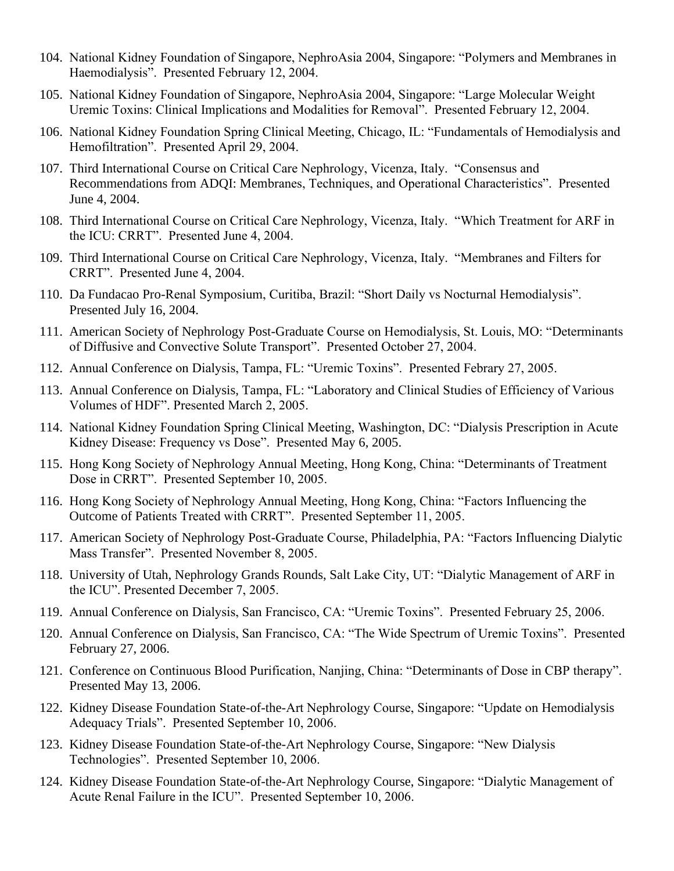- 104. National Kidney Foundation of Singapore, NephroAsia 2004, Singapore: "Polymers and Membranes in Haemodialysis". Presented February 12, 2004.
- 105. National Kidney Foundation of Singapore, NephroAsia 2004, Singapore: "Large Molecular Weight Uremic Toxins: Clinical Implications and Modalities for Removal". Presented February 12, 2004.
- 106. National Kidney Foundation Spring Clinical Meeting, Chicago, IL: "Fundamentals of Hemodialysis and Hemofiltration". Presented April 29, 2004.
- 107. Third International Course on Critical Care Nephrology, Vicenza, Italy. "Consensus and Recommendations from ADQI: Membranes, Techniques, and Operational Characteristics". Presented June 4, 2004.
- 108. Third International Course on Critical Care Nephrology, Vicenza, Italy. "Which Treatment for ARF in the ICU: CRRT". Presented June 4, 2004.
- 109. Third International Course on Critical Care Nephrology, Vicenza, Italy. "Membranes and Filters for CRRT". Presented June 4, 2004.
- 110. Da Fundacao Pro-Renal Symposium, Curitiba, Brazil: "Short Daily vs Nocturnal Hemodialysis". Presented July 16, 2004.
- 111. American Society of Nephrology Post-Graduate Course on Hemodialysis, St. Louis, MO: "Determinants of Diffusive and Convective Solute Transport". Presented October 27, 2004.
- 112. Annual Conference on Dialysis, Tampa, FL: "Uremic Toxins". Presented Febrary 27, 2005.
- 113. Annual Conference on Dialysis, Tampa, FL: "Laboratory and Clinical Studies of Efficiency of Various Volumes of HDF". Presented March 2, 2005.
- 114. National Kidney Foundation Spring Clinical Meeting, Washington, DC: "Dialysis Prescription in Acute Kidney Disease: Frequency vs Dose". Presented May 6, 2005.
- 115. Hong Kong Society of Nephrology Annual Meeting, Hong Kong, China: "Determinants of Treatment Dose in CRRT". Presented September 10, 2005.
- 116. Hong Kong Society of Nephrology Annual Meeting, Hong Kong, China: "Factors Influencing the Outcome of Patients Treated with CRRT". Presented September 11, 2005.
- 117. American Society of Nephrology Post-Graduate Course, Philadelphia, PA: "Factors Influencing Dialytic Mass Transfer". Presented November 8, 2005.
- 118. University of Utah, Nephrology Grands Rounds, Salt Lake City, UT: "Dialytic Management of ARF in the ICU". Presented December 7, 2005.
- 119. Annual Conference on Dialysis, San Francisco, CA: "Uremic Toxins". Presented February 25, 2006.
- 120. Annual Conference on Dialysis, San Francisco, CA: "The Wide Spectrum of Uremic Toxins". Presented February 27, 2006.
- 121. Conference on Continuous Blood Purification, Nanjing, China: "Determinants of Dose in CBP therapy". Presented May 13, 2006.
- 122. Kidney Disease Foundation State-of-the-Art Nephrology Course, Singapore: "Update on Hemodialysis Adequacy Trials". Presented September 10, 2006.
- 123. Kidney Disease Foundation State-of-the-Art Nephrology Course, Singapore: "New Dialysis Technologies". Presented September 10, 2006.
- 124. Kidney Disease Foundation State-of-the-Art Nephrology Course, Singapore: "Dialytic Management of Acute Renal Failure in the ICU". Presented September 10, 2006.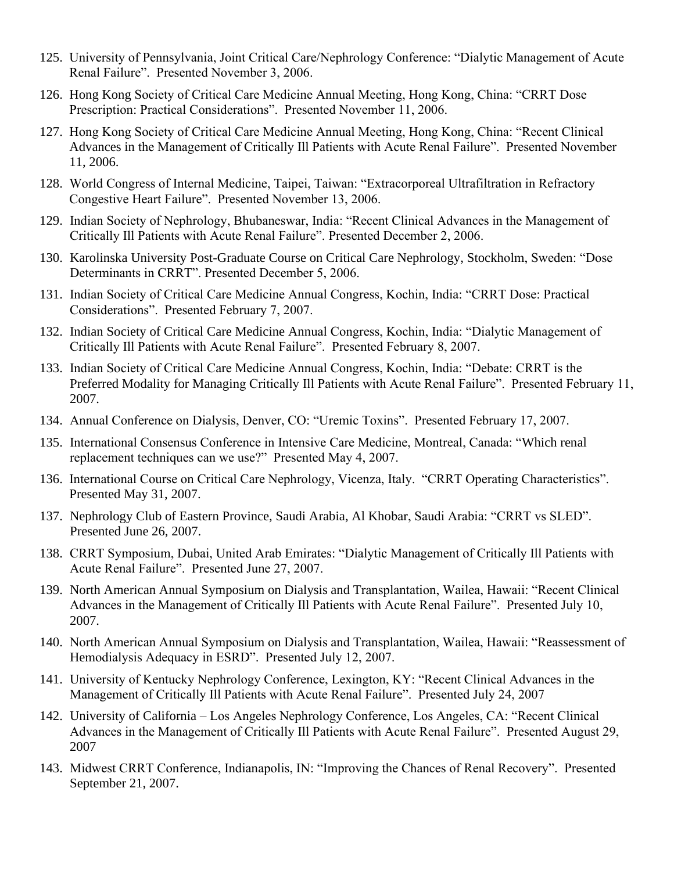- 125. University of Pennsylvania, Joint Critical Care/Nephrology Conference: "Dialytic Management of Acute Renal Failure". Presented November 3, 2006.
- 126. Hong Kong Society of Critical Care Medicine Annual Meeting, Hong Kong, China: "CRRT Dose Prescription: Practical Considerations". Presented November 11, 2006.
- 127. Hong Kong Society of Critical Care Medicine Annual Meeting, Hong Kong, China: "Recent Clinical Advances in the Management of Critically Ill Patients with Acute Renal Failure". Presented November 11, 2006.
- 128. World Congress of Internal Medicine, Taipei, Taiwan: "Extracorporeal Ultrafiltration in Refractory Congestive Heart Failure". Presented November 13, 2006.
- 129. Indian Society of Nephrology, Bhubaneswar, India: "Recent Clinical Advances in the Management of Critically Ill Patients with Acute Renal Failure". Presented December 2, 2006.
- 130. Karolinska University Post-Graduate Course on Critical Care Nephrology, Stockholm, Sweden: "Dose Determinants in CRRT". Presented December 5, 2006.
- 131. Indian Society of Critical Care Medicine Annual Congress, Kochin, India: "CRRT Dose: Practical Considerations". Presented February 7, 2007.
- 132. Indian Society of Critical Care Medicine Annual Congress, Kochin, India: "Dialytic Management of Critically Ill Patients with Acute Renal Failure". Presented February 8, 2007.
- 133. Indian Society of Critical Care Medicine Annual Congress, Kochin, India: "Debate: CRRT is the Preferred Modality for Managing Critically Ill Patients with Acute Renal Failure". Presented February 11, 2007.
- 134. Annual Conference on Dialysis, Denver, CO: "Uremic Toxins". Presented February 17, 2007.
- 135. International Consensus Conference in Intensive Care Medicine, Montreal, Canada: "Which renal replacement techniques can we use?" Presented May 4, 2007.
- 136. International Course on Critical Care Nephrology, Vicenza, Italy. "CRRT Operating Characteristics". Presented May 31, 2007.
- 137. Nephrology Club of Eastern Province, Saudi Arabia, Al Khobar, Saudi Arabia: "CRRT vs SLED". Presented June 26, 2007.
- 138. CRRT Symposium, Dubai, United Arab Emirates: "Dialytic Management of Critically Ill Patients with Acute Renal Failure". Presented June 27, 2007.
- 139. North American Annual Symposium on Dialysis and Transplantation, Wailea, Hawaii: "Recent Clinical Advances in the Management of Critically Ill Patients with Acute Renal Failure". Presented July 10, 2007.
- 140. North American Annual Symposium on Dialysis and Transplantation, Wailea, Hawaii: "Reassessment of Hemodialysis Adequacy in ESRD". Presented July 12, 2007.
- 141. University of Kentucky Nephrology Conference, Lexington, KY: "Recent Clinical Advances in the Management of Critically Ill Patients with Acute Renal Failure". Presented July 24, 2007
- 142. University of California Los Angeles Nephrology Conference, Los Angeles, CA: "Recent Clinical Advances in the Management of Critically Ill Patients with Acute Renal Failure". Presented August 29, 2007
- 143. Midwest CRRT Conference, Indianapolis, IN: "Improving the Chances of Renal Recovery". Presented September 21, 2007.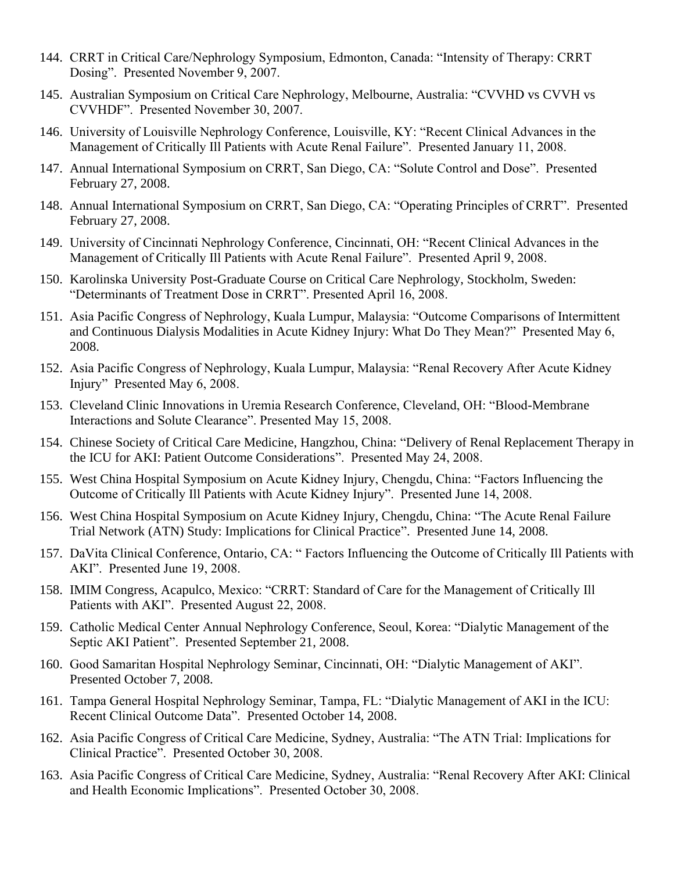- 144. CRRT in Critical Care/Nephrology Symposium, Edmonton, Canada: "Intensity of Therapy: CRRT Dosing". Presented November 9, 2007.
- 145. Australian Symposium on Critical Care Nephrology, Melbourne, Australia: "CVVHD vs CVVH vs CVVHDF". Presented November 30, 2007.
- 146. University of Louisville Nephrology Conference, Louisville, KY: "Recent Clinical Advances in the Management of Critically Ill Patients with Acute Renal Failure". Presented January 11, 2008.
- 147. Annual International Symposium on CRRT, San Diego, CA: "Solute Control and Dose". Presented February 27, 2008.
- 148. Annual International Symposium on CRRT, San Diego, CA: "Operating Principles of CRRT". Presented February 27, 2008.
- 149. University of Cincinnati Nephrology Conference, Cincinnati, OH: "Recent Clinical Advances in the Management of Critically Ill Patients with Acute Renal Failure". Presented April 9, 2008.
- 150. Karolinska University Post-Graduate Course on Critical Care Nephrology, Stockholm, Sweden: "Determinants of Treatment Dose in CRRT". Presented April 16, 2008.
- 151. Asia Pacific Congress of Nephrology, Kuala Lumpur, Malaysia: "Outcome Comparisons of Intermittent and Continuous Dialysis Modalities in Acute Kidney Injury: What Do They Mean?" Presented May 6, 2008.
- 152. Asia Pacific Congress of Nephrology, Kuala Lumpur, Malaysia: "Renal Recovery After Acute Kidney Injury" Presented May 6, 2008.
- 153. Cleveland Clinic Innovations in Uremia Research Conference, Cleveland, OH: "Blood-Membrane Interactions and Solute Clearance". Presented May 15, 2008.
- 154. Chinese Society of Critical Care Medicine, Hangzhou, China: "Delivery of Renal Replacement Therapy in the ICU for AKI: Patient Outcome Considerations". Presented May 24, 2008.
- 155. West China Hospital Symposium on Acute Kidney Injury, Chengdu, China: "Factors Influencing the Outcome of Critically Ill Patients with Acute Kidney Injury". Presented June 14, 2008.
- 156. West China Hospital Symposium on Acute Kidney Injury, Chengdu, China: "The Acute Renal Failure Trial Network (ATN) Study: Implications for Clinical Practice". Presented June 14, 2008.
- 157. DaVita Clinical Conference, Ontario, CA: " Factors Influencing the Outcome of Critically Ill Patients with AKI". Presented June 19, 2008.
- 158. IMIM Congress, Acapulco, Mexico: "CRRT: Standard of Care for the Management of Critically Ill Patients with AKI". Presented August 22, 2008.
- 159. Catholic Medical Center Annual Nephrology Conference, Seoul, Korea: "Dialytic Management of the Septic AKI Patient". Presented September 21, 2008.
- 160. Good Samaritan Hospital Nephrology Seminar, Cincinnati, OH: "Dialytic Management of AKI". Presented October 7, 2008.
- 161. Tampa General Hospital Nephrology Seminar, Tampa, FL: "Dialytic Management of AKI in the ICU: Recent Clinical Outcome Data". Presented October 14, 2008.
- 162. Asia Pacific Congress of Critical Care Medicine, Sydney, Australia: "The ATN Trial: Implications for Clinical Practice". Presented October 30, 2008.
- 163. Asia Pacific Congress of Critical Care Medicine, Sydney, Australia: "Renal Recovery After AKI: Clinical and Health Economic Implications". Presented October 30, 2008.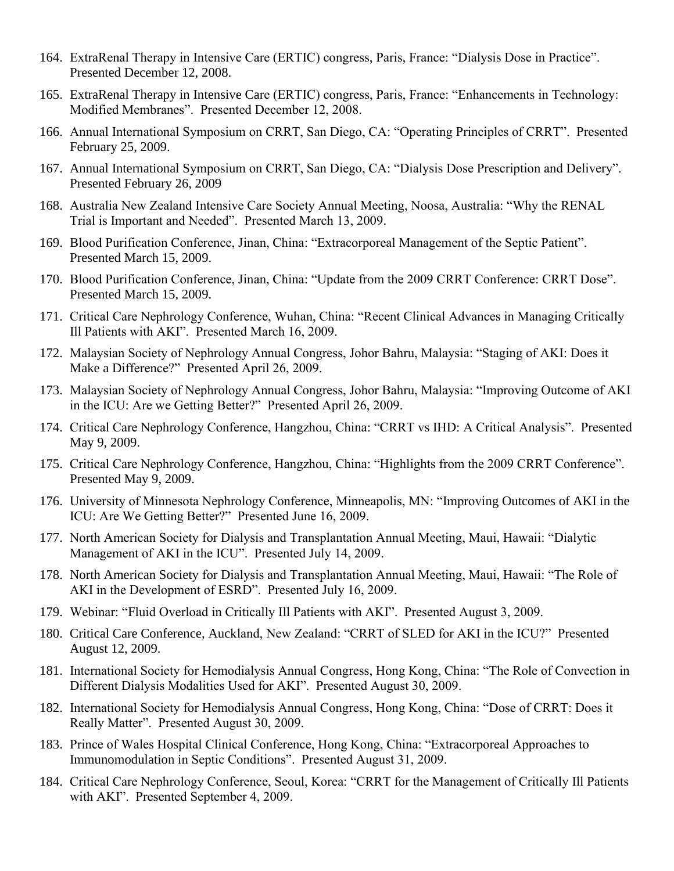- 164. ExtraRenal Therapy in Intensive Care (ERTIC) congress, Paris, France: "Dialysis Dose in Practice". Presented December 12, 2008.
- 165. ExtraRenal Therapy in Intensive Care (ERTIC) congress, Paris, France: "Enhancements in Technology: Modified Membranes". Presented December 12, 2008.
- 166. Annual International Symposium on CRRT, San Diego, CA: "Operating Principles of CRRT". Presented February 25, 2009.
- 167. Annual International Symposium on CRRT, San Diego, CA: "Dialysis Dose Prescription and Delivery". Presented February 26, 2009
- 168. Australia New Zealand Intensive Care Society Annual Meeting, Noosa, Australia: "Why the RENAL Trial is Important and Needed". Presented March 13, 2009.
- 169. Blood Purification Conference, Jinan, China: "Extracorporeal Management of the Septic Patient". Presented March 15, 2009.
- 170. Blood Purification Conference, Jinan, China: "Update from the 2009 CRRT Conference: CRRT Dose". Presented March 15, 2009.
- 171. Critical Care Nephrology Conference, Wuhan, China: "Recent Clinical Advances in Managing Critically Ill Patients with AKI". Presented March 16, 2009.
- 172. Malaysian Society of Nephrology Annual Congress, Johor Bahru, Malaysia: "Staging of AKI: Does it Make a Difference?" Presented April 26, 2009.
- 173. Malaysian Society of Nephrology Annual Congress, Johor Bahru, Malaysia: "Improving Outcome of AKI in the ICU: Are we Getting Better?" Presented April 26, 2009.
- 174. Critical Care Nephrology Conference, Hangzhou, China: "CRRT vs IHD: A Critical Analysis". Presented May 9, 2009.
- 175. Critical Care Nephrology Conference, Hangzhou, China: "Highlights from the 2009 CRRT Conference". Presented May 9, 2009.
- 176. University of Minnesota Nephrology Conference, Minneapolis, MN: "Improving Outcomes of AKI in the ICU: Are We Getting Better?" Presented June 16, 2009.
- 177. North American Society for Dialysis and Transplantation Annual Meeting, Maui, Hawaii: "Dialytic Management of AKI in the ICU". Presented July 14, 2009.
- 178. North American Society for Dialysis and Transplantation Annual Meeting, Maui, Hawaii: "The Role of AKI in the Development of ESRD". Presented July 16, 2009.
- 179. Webinar: "Fluid Overload in Critically Ill Patients with AKI". Presented August 3, 2009.
- 180. Critical Care Conference, Auckland, New Zealand: "CRRT of SLED for AKI in the ICU?" Presented August 12, 2009.
- 181. International Society for Hemodialysis Annual Congress, Hong Kong, China: "The Role of Convection in Different Dialysis Modalities Used for AKI". Presented August 30, 2009.
- 182. International Society for Hemodialysis Annual Congress, Hong Kong, China: "Dose of CRRT: Does it Really Matter". Presented August 30, 2009.
- 183. Prince of Wales Hospital Clinical Conference, Hong Kong, China: "Extracorporeal Approaches to Immunomodulation in Septic Conditions". Presented August 31, 2009.
- 184. Critical Care Nephrology Conference, Seoul, Korea: "CRRT for the Management of Critically Ill Patients with AKI". Presented September 4, 2009.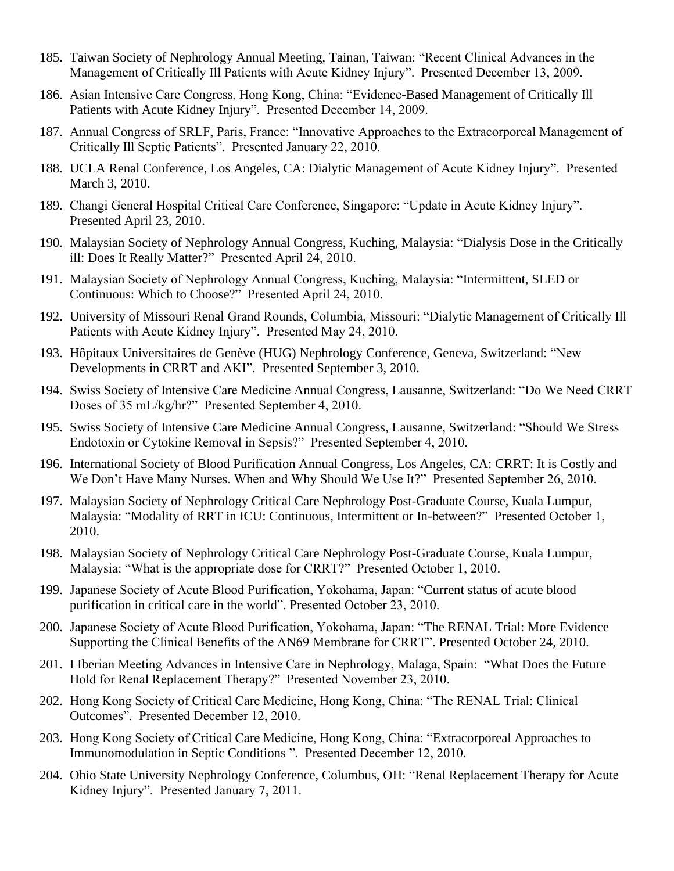- 185. Taiwan Society of Nephrology Annual Meeting, Tainan, Taiwan: "Recent Clinical Advances in the Management of Critically Ill Patients with Acute Kidney Injury". Presented December 13, 2009.
- 186. Asian Intensive Care Congress, Hong Kong, China: "Evidence-Based Management of Critically Ill Patients with Acute Kidney Injury". Presented December 14, 2009.
- 187. Annual Congress of SRLF, Paris, France: "Innovative Approaches to the Extracorporeal Management of Critically Ill Septic Patients". Presented January 22, 2010.
- 188. UCLA Renal Conference, Los Angeles, CA: Dialytic Management of Acute Kidney Injury". Presented March 3, 2010.
- 189. Changi General Hospital Critical Care Conference, Singapore: "Update in Acute Kidney Injury". Presented April 23, 2010.
- 190. Malaysian Society of Nephrology Annual Congress, Kuching, Malaysia: "Dialysis Dose in the Critically ill: Does It Really Matter?" Presented April 24, 2010.
- 191. Malaysian Society of Nephrology Annual Congress, Kuching, Malaysia: "Intermittent, SLED or Continuous: Which to Choose?" Presented April 24, 2010.
- 192. University of Missouri Renal Grand Rounds, Columbia, Missouri: "Dialytic Management of Critically Ill Patients with Acute Kidney Injury". Presented May 24, 2010.
- 193. Hôpitaux Universitaires de Genève (HUG) Nephrology Conference, Geneva, Switzerland: "New Developments in CRRT and AKI". Presented September 3, 2010.
- 194. Swiss Society of Intensive Care Medicine Annual Congress, Lausanne, Switzerland: "Do We Need CRRT Doses of 35 mL/kg/hr?" Presented September 4, 2010.
- 195. Swiss Society of Intensive Care Medicine Annual Congress, Lausanne, Switzerland: "Should We Stress Endotoxin or Cytokine Removal in Sepsis?" Presented September 4, 2010.
- 196. International Society of Blood Purification Annual Congress, Los Angeles, CA: CRRT: It is Costly and We Don't Have Many Nurses. When and Why Should We Use It?" Presented September 26, 2010.
- 197. Malaysian Society of Nephrology Critical Care Nephrology Post-Graduate Course, Kuala Lumpur, Malaysia: "Modality of RRT in ICU: Continuous, Intermittent or In-between?" Presented October 1, 2010.
- 198. Malaysian Society of Nephrology Critical Care Nephrology Post-Graduate Course, Kuala Lumpur, Malaysia: "What is the appropriate dose for CRRT?" Presented October 1, 2010.
- 199. Japanese Society of Acute Blood Purification, Yokohama, Japan: "Current status of acute blood purification in critical care in the world". Presented October 23, 2010.
- 200. Japanese Society of Acute Blood Purification, Yokohama, Japan: "The RENAL Trial: More Evidence Supporting the Clinical Benefits of the AN69 Membrane for CRRT". Presented October 24, 2010.
- 201. I Iberian Meeting Advances in Intensive Care in Nephrology, Malaga, Spain: "What Does the Future Hold for Renal Replacement Therapy?" Presented November 23, 2010.
- 202. Hong Kong Society of Critical Care Medicine, Hong Kong, China: "The RENAL Trial: Clinical Outcomes". Presented December 12, 2010.
- 203. Hong Kong Society of Critical Care Medicine, Hong Kong, China: "Extracorporeal Approaches to Immunomodulation in Septic Conditions ". Presented December 12, 2010.
- 204. Ohio State University Nephrology Conference, Columbus, OH: "Renal Replacement Therapy for Acute Kidney Injury". Presented January 7, 2011.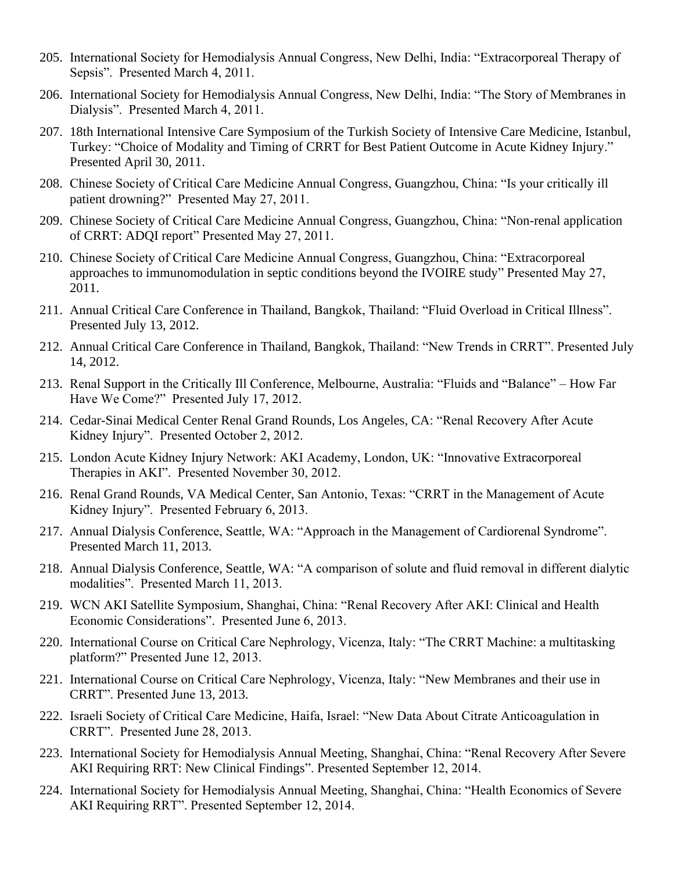- 205. International Society for Hemodialysis Annual Congress, New Delhi, India: "Extracorporeal Therapy of Sepsis". Presented March 4, 2011.
- 206. International Society for Hemodialysis Annual Congress, New Delhi, India: "The Story of Membranes in Dialysis". Presented March 4, 2011.
- 207. 18th International Intensive Care Symposium of the Turkish Society of Intensive Care Medicine, Istanbul, Turkey: "Choice of Modality and Timing of CRRT for Best Patient Outcome in Acute Kidney Injury." Presented April 30, 2011.
- 208. Chinese Society of Critical Care Medicine Annual Congress, Guangzhou, China: "Is your critically ill patient drowning?" Presented May 27, 2011.
- 209. Chinese Society of Critical Care Medicine Annual Congress, Guangzhou, China: "Non-renal application of CRRT: ADQI report" Presented May 27, 2011.
- 210. Chinese Society of Critical Care Medicine Annual Congress, Guangzhou, China: "Extracorporeal approaches to immunomodulation in septic conditions beyond the IVOIRE study" Presented May 27, 2011.
- 211. Annual Critical Care Conference in Thailand, Bangkok, Thailand: "Fluid Overload in Critical Illness". Presented July 13, 2012.
- 212. Annual Critical Care Conference in Thailand, Bangkok, Thailand: "New Trends in CRRT". Presented July 14, 2012.
- 213. Renal Support in the Critically Ill Conference, Melbourne, Australia: "Fluids and "Balance" How Far Have We Come?" Presented July 17, 2012.
- 214. Cedar-Sinai Medical Center Renal Grand Rounds, Los Angeles, CA: "Renal Recovery After Acute Kidney Injury". Presented October 2, 2012.
- 215. London Acute Kidney Injury Network: AKI Academy, London, UK: "Innovative Extracorporeal Therapies in AKI". Presented November 30, 2012.
- 216. Renal Grand Rounds, VA Medical Center, San Antonio, Texas: "CRRT in the Management of Acute Kidney Injury". Presented February 6, 2013.
- 217. Annual Dialysis Conference, Seattle, WA: "Approach in the Management of Cardiorenal Syndrome". Presented March 11, 2013.
- 218. Annual Dialysis Conference, Seattle, WA: "A comparison of solute and fluid removal in different dialytic modalities". Presented March 11, 2013.
- 219. WCN AKI Satellite Symposium, Shanghai, China: "Renal Recovery After AKI: Clinical and Health Economic Considerations". Presented June 6, 2013.
- 220. International Course on Critical Care Nephrology, Vicenza, Italy: "The CRRT Machine: a multitasking platform?" Presented June 12, 2013.
- 221. International Course on Critical Care Nephrology, Vicenza, Italy: "New Membranes and their use in CRRT". Presented June 13, 2013.
- 222. Israeli Society of Critical Care Medicine, Haifa, Israel: "New Data About Citrate Anticoagulation in CRRT". Presented June 28, 2013.
- 223. International Society for Hemodialysis Annual Meeting, Shanghai, China: "Renal Recovery After Severe AKI Requiring RRT: New Clinical Findings". Presented September 12, 2014.
- 224. International Society for Hemodialysis Annual Meeting, Shanghai, China: "Health Economics of Severe AKI Requiring RRT". Presented September 12, 2014.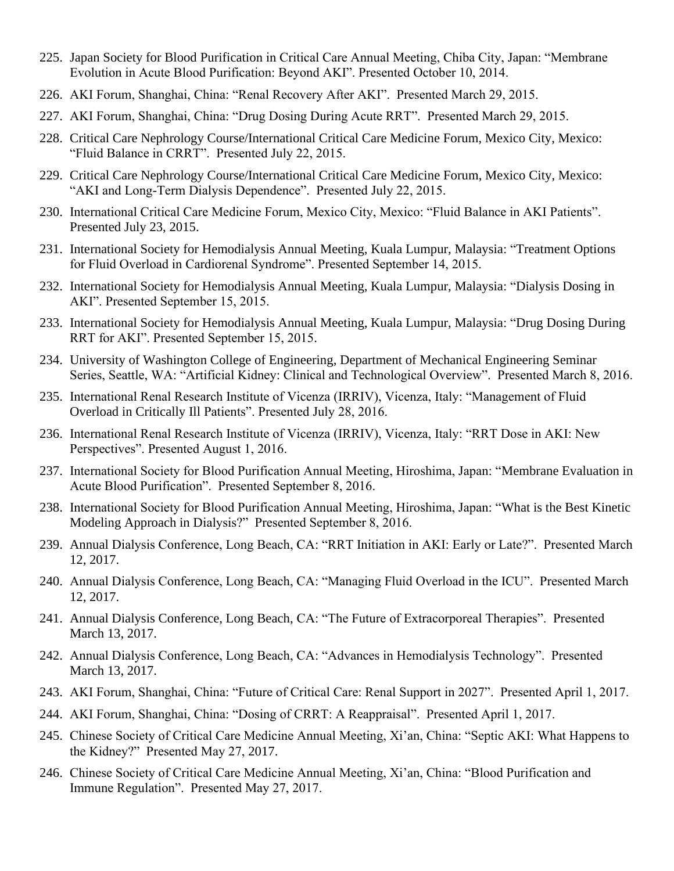- 225. Japan Society for Blood Purification in Critical Care Annual Meeting, Chiba City, Japan: "Membrane Evolution in Acute Blood Purification: Beyond AKI". Presented October 10, 2014.
- 226. AKI Forum, Shanghai, China: "Renal Recovery After AKI". Presented March 29, 2015.
- 227. AKI Forum, Shanghai, China: "Drug Dosing During Acute RRT". Presented March 29, 2015.
- 228. Critical Care Nephrology Course/International Critical Care Medicine Forum, Mexico City, Mexico: "Fluid Balance in CRRT". Presented July 22, 2015.
- 229. Critical Care Nephrology Course/International Critical Care Medicine Forum, Mexico City, Mexico: "AKI and Long-Term Dialysis Dependence". Presented July 22, 2015.
- 230. International Critical Care Medicine Forum, Mexico City, Mexico: "Fluid Balance in AKI Patients". Presented July 23, 2015.
- 231. International Society for Hemodialysis Annual Meeting, Kuala Lumpur, Malaysia: "Treatment Options for Fluid Overload in Cardiorenal Syndrome". Presented September 14, 2015.
- 232. International Society for Hemodialysis Annual Meeting, Kuala Lumpur, Malaysia: "Dialysis Dosing in AKI". Presented September 15, 2015.
- 233. International Society for Hemodialysis Annual Meeting, Kuala Lumpur, Malaysia: "Drug Dosing During RRT for AKI". Presented September 15, 2015.
- 234. University of Washington College of Engineering, Department of Mechanical Engineering Seminar Series, Seattle, WA: "Artificial Kidney: Clinical and Technological Overview". Presented March 8, 2016.
- 235. International Renal Research Institute of Vicenza (IRRIV), Vicenza, Italy: "Management of Fluid Overload in Critically Ill Patients". Presented July 28, 2016.
- 236. International Renal Research Institute of Vicenza (IRRIV), Vicenza, Italy: "RRT Dose in AKI: New Perspectives". Presented August 1, 2016.
- 237. International Society for Blood Purification Annual Meeting, Hiroshima, Japan: "Membrane Evaluation in Acute Blood Purification". Presented September 8, 2016.
- 238. International Society for Blood Purification Annual Meeting, Hiroshima, Japan: "What is the Best Kinetic Modeling Approach in Dialysis?" Presented September 8, 2016.
- 239. Annual Dialysis Conference, Long Beach, CA: "RRT Initiation in AKI: Early or Late?". Presented March 12, 2017.
- 240. Annual Dialysis Conference, Long Beach, CA: "Managing Fluid Overload in the ICU". Presented March 12, 2017.
- 241. Annual Dialysis Conference, Long Beach, CA: "The Future of Extracorporeal Therapies". Presented March 13, 2017.
- 242. Annual Dialysis Conference, Long Beach, CA: "Advances in Hemodialysis Technology". Presented March 13, 2017.
- 243. AKI Forum, Shanghai, China: "Future of Critical Care: Renal Support in 2027". Presented April 1, 2017.
- 244. AKI Forum, Shanghai, China: "Dosing of CRRT: A Reappraisal". Presented April 1, 2017.
- 245. Chinese Society of Critical Care Medicine Annual Meeting, Xi'an, China: "Septic AKI: What Happens to the Kidney?" Presented May 27, 2017.
- 246. Chinese Society of Critical Care Medicine Annual Meeting, Xi'an, China: "Blood Purification and Immune Regulation". Presented May 27, 2017.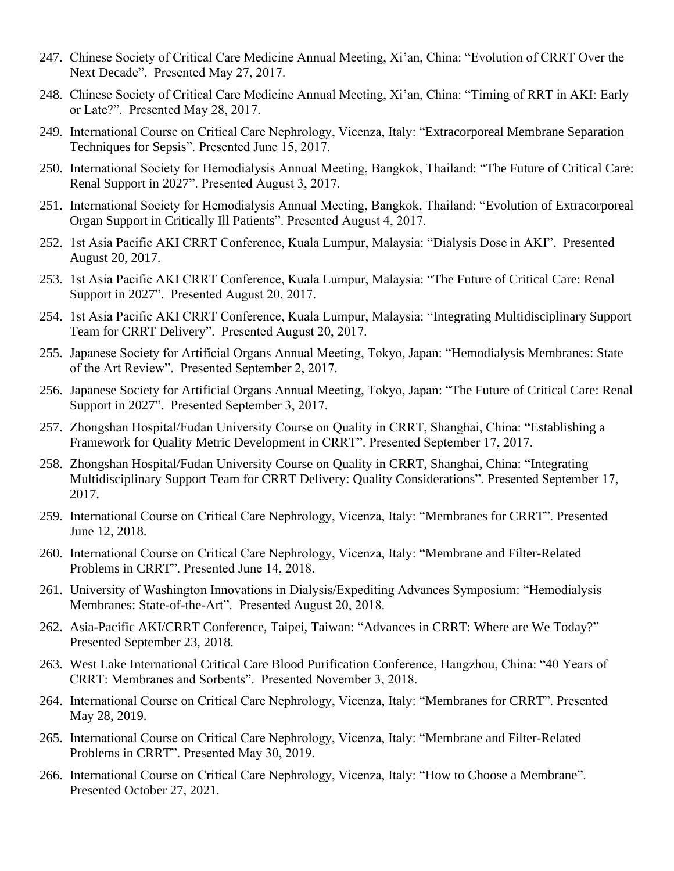- 247. Chinese Society of Critical Care Medicine Annual Meeting, Xi'an, China: "Evolution of CRRT Over the Next Decade". Presented May 27, 2017.
- 248. Chinese Society of Critical Care Medicine Annual Meeting, Xi'an, China: "Timing of RRT in AKI: Early or Late?". Presented May 28, 2017.
- 249. International Course on Critical Care Nephrology, Vicenza, Italy: "Extracorporeal Membrane Separation Techniques for Sepsis". Presented June 15, 2017.
- 250. International Society for Hemodialysis Annual Meeting, Bangkok, Thailand: "The Future of Critical Care: Renal Support in 2027". Presented August 3, 2017.
- 251. International Society for Hemodialysis Annual Meeting, Bangkok, Thailand: "Evolution of Extracorporeal Organ Support in Critically Ill Patients". Presented August 4, 2017.
- 252. 1st Asia Pacific AKI CRRT Conference, Kuala Lumpur, Malaysia: "Dialysis Dose in AKI". Presented August 20, 2017.
- 253. 1st Asia Pacific AKI CRRT Conference, Kuala Lumpur, Malaysia: "The Future of Critical Care: Renal Support in 2027". Presented August 20, 2017.
- 254. 1st Asia Pacific AKI CRRT Conference, Kuala Lumpur, Malaysia: "Integrating Multidisciplinary Support Team for CRRT Delivery". Presented August 20, 2017.
- 255. Japanese Society for Artificial Organs Annual Meeting, Tokyo, Japan: "Hemodialysis Membranes: State of the Art Review". Presented September 2, 2017.
- 256. Japanese Society for Artificial Organs Annual Meeting, Tokyo, Japan: "The Future of Critical Care: Renal Support in 2027". Presented September 3, 2017.
- 257. Zhongshan Hospital/Fudan University Course on Quality in CRRT, Shanghai, China: "Establishing a Framework for Quality Metric Development in CRRT". Presented September 17, 2017.
- 258. Zhongshan Hospital/Fudan University Course on Quality in CRRT, Shanghai, China: "Integrating Multidisciplinary Support Team for CRRT Delivery: Quality Considerations". Presented September 17, 2017.
- 259. International Course on Critical Care Nephrology, Vicenza, Italy: "Membranes for CRRT". Presented June 12, 2018.
- 260. International Course on Critical Care Nephrology, Vicenza, Italy: "Membrane and Filter-Related Problems in CRRT". Presented June 14, 2018.
- 261. University of Washington Innovations in Dialysis/Expediting Advances Symposium: "Hemodialysis Membranes: State-of-the-Art". Presented August 20, 2018.
- 262. Asia-Pacific AKI/CRRT Conference, Taipei, Taiwan: "Advances in CRRT: Where are We Today?" Presented September 23, 2018.
- 263. West Lake International Critical Care Blood Purification Conference, Hangzhou, China: "40 Years of CRRT: Membranes and Sorbents". Presented November 3, 2018.
- 264. International Course on Critical Care Nephrology, Vicenza, Italy: "Membranes for CRRT". Presented May 28, 2019.
- 265. International Course on Critical Care Nephrology, Vicenza, Italy: "Membrane and Filter-Related Problems in CRRT". Presented May 30, 2019.
- 266. International Course on Critical Care Nephrology, Vicenza, Italy: "How to Choose a Membrane". Presented October 27, 2021.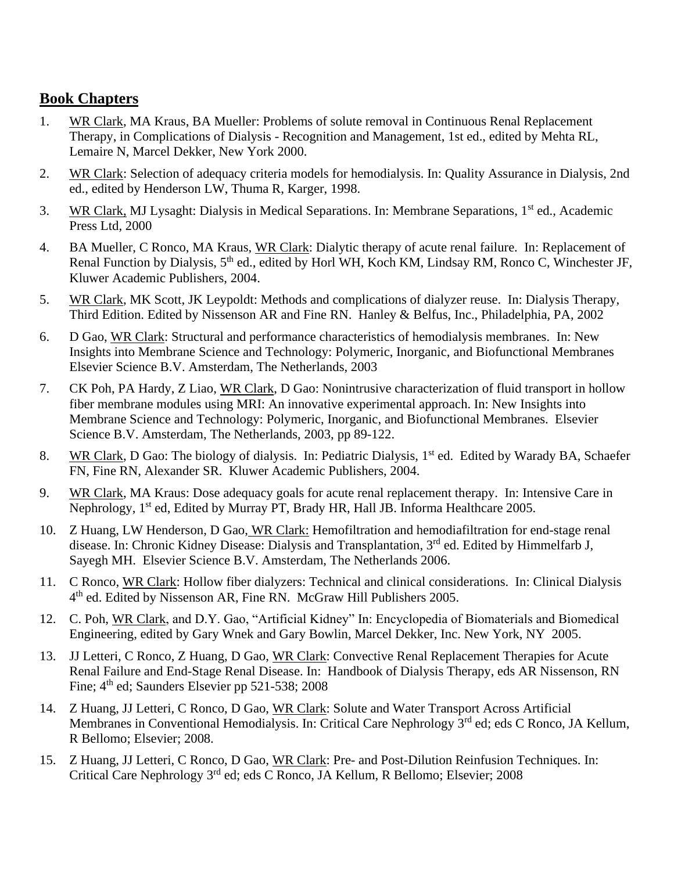#### **Book Chapters**

- 1. WR Clark, MA Kraus, BA Mueller: Problems of solute removal in Continuous Renal Replacement Therapy, in Complications of Dialysis - Recognition and Management, 1st ed., edited by Mehta RL, Lemaire N, Marcel Dekker, New York 2000.
- 2. WR Clark: Selection of adequacy criteria models for hemodialysis. In: Quality Assurance in Dialysis, 2nd ed., edited by Henderson LW, Thuma R, Karger, 1998.
- 3. WR Clark, MJ Lysaght: Dialysis in Medical Separations. In: Membrane Separations, 1st ed., Academic Press Ltd, 2000
- 4. BA Mueller, C Ronco, MA Kraus, WR Clark: Dialytic therapy of acute renal failure. In: Replacement of Renal Function by Dialysis, 5<sup>th</sup> ed., edited by Horl WH, Koch KM, Lindsay RM, Ronco C, Winchester JF, Kluwer Academic Publishers, 2004.
- 5. WR Clark, MK Scott, JK Leypoldt: Methods and complications of dialyzer reuse. In: Dialysis Therapy, Third Edition. Edited by Nissenson AR and Fine RN. Hanley & Belfus, Inc., Philadelphia, PA, 2002
- 6. D Gao, WR Clark: Structural and performance characteristics of hemodialysis membranes. In: New Insights into Membrane Science and Technology: Polymeric, Inorganic, and Biofunctional Membranes Elsevier Science B.V. Amsterdam, The Netherlands, 2003
- 7. CK Poh, PA Hardy, Z Liao, WR Clark, D Gao: Nonintrusive characterization of fluid transport in hollow fiber membrane modules using MRI: An innovative experimental approach. In: New Insights into Membrane Science and Technology: Polymeric, Inorganic, and Biofunctional Membranes. Elsevier Science B.V. Amsterdam, The Netherlands, 2003, pp 89-122.
- 8. WR Clark, D Gao: The biology of dialysis. In: Pediatric Dialysis, 1<sup>st</sup> ed. Edited by Warady BA, Schaefer FN, Fine RN, Alexander SR. Kluwer Academic Publishers, 2004.
- 9. WR Clark, MA Kraus: Dose adequacy goals for acute renal replacement therapy. In: Intensive Care in Nephrology, 1<sup>st</sup> ed, Edited by Murray PT, Brady HR, Hall JB. Informa Healthcare 2005.
- 10. Z Huang, LW Henderson, D Gao, WR Clark: Hemofiltration and hemodiafiltration for end-stage renal disease. In: Chronic Kidney Disease: Dialysis and Transplantation, 3<sup>rd</sup> ed. Edited by Himmelfarb J, Sayegh MH. Elsevier Science B.V. Amsterdam, The Netherlands 2006.
- 11. C Ronco, WR Clark: Hollow fiber dialyzers: Technical and clinical considerations. In: Clinical Dialysis 4<sup>th</sup> ed. Edited by Nissenson AR, Fine RN. McGraw Hill Publishers 2005.
- 12. C. Poh, WR Clark, and D.Y. Gao, "Artificial Kidney" In: Encyclopedia of Biomaterials and Biomedical Engineering, edited by Gary Wnek and Gary Bowlin, Marcel Dekker, Inc. New York, NY 2005.
- 13. JJ Letteri, C Ronco, Z Huang, D Gao, WR Clark: Convective Renal Replacement Therapies for Acute Renal Failure and End-Stage Renal Disease. In: Handbook of Dialysis Therapy, eds AR Nissenson, RN Fine; 4<sup>th</sup> ed; Saunders Elsevier pp 521-538; 2008
- 14. Z Huang, JJ Letteri, C Ronco, D Gao, WR Clark: Solute and Water Transport Across Artificial Membranes in Conventional Hemodialysis. In: Critical Care Nephrology 3<sup>rd</sup> ed; eds C Ronco, JA Kellum, R Bellomo; Elsevier; 2008.
- 15. Z Huang, JJ Letteri, C Ronco, D Gao, WR Clark: Pre- and Post-Dilution Reinfusion Techniques. In: Critical Care Nephrology 3rd ed; eds C Ronco, JA Kellum, R Bellomo; Elsevier; 2008